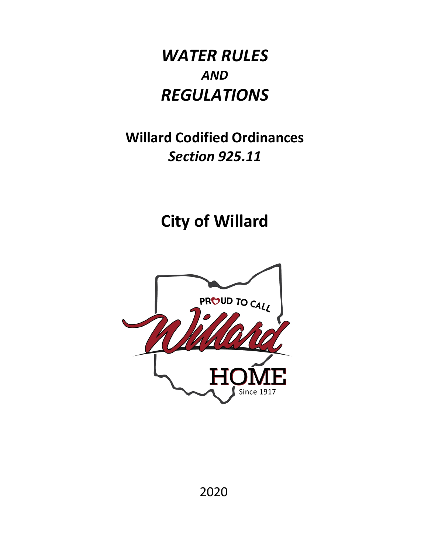# *WATER RULES AND REGULATIONS*

# **Willard Codified Ordinances**  *Section 925.11*

**City of Willard** 

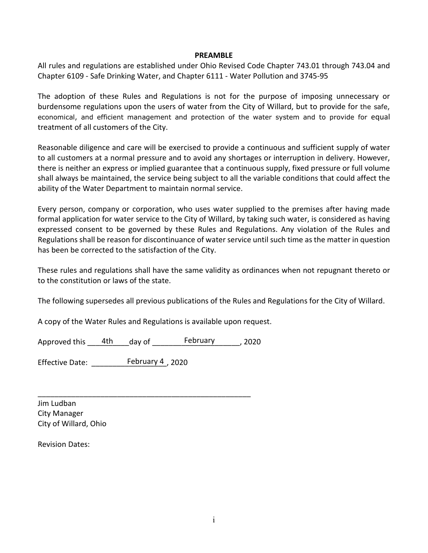#### **PREAMBLE**

All rules and regulations are established under Ohio Revised Code Chapter 743.01 through 743.04 and Chapter 6109 - Safe Drinking Water, and Chapter 6111 - Water Pollution and 3745-95

The adoption of these Rules and Regulations is not for the purpose of imposing unnecessary or burdensome regulations upon the users of water from the City of Willard, but to provide for the safe, economical, and efficient management and protection of the water system and to provide for equal treatment of all customers of the City.

Reasonable diligence and care will be exercised to provide a continuous and sufficient supply of water to all customers at a normal pressure and to avoid any shortages or interruption in delivery. However, there is neither an express or implied guarantee that a continuous supply, fixed pressure or full volume shall always be maintained, the service being subject to all the variable conditions that could affect the ability of the Water Department to maintain normal service.

Every person, company or corporation, who uses water supplied to the premises after having made formal application for water service to the City of Willard, by taking such water, is considered as having expressed consent to be governed by these Rules and Regulations. Any violation of the Rules and Regulations shall be reason for discontinuance of water service until such time as the matter in question has been be corrected to the satisfaction of the City.

These rules and regulations shall have the same validity as ordinances when not repugnant thereto or to the constitution or laws of the state.

The following supersedes all previous publications of the Rules and Regulations for the City of Willard.

A copy of the Water Rules and Regulations is available upon request.

| Approved this | 4th | day of | February | , 2020 |
|---------------|-----|--------|----------|--------|
|---------------|-----|--------|----------|--------|

\_\_\_\_\_\_\_\_\_\_\_\_\_\_\_\_\_\_\_\_\_\_\_\_\_\_\_\_\_\_\_\_\_\_\_\_\_\_\_\_\_\_\_\_\_\_\_\_\_\_\_

Effective Date: \_\_\_\_\_\_\_\_\_\_\_\_\_\_\_\_\_\_, 2020 February 4

Jim Ludban City Manager City of Willard, Ohio

Revision Dates: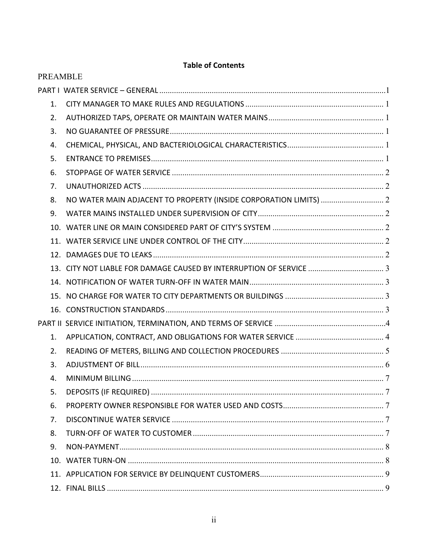# **Table of Contents**

| <b>PREAMBLE</b> |                                                                     |  |
|-----------------|---------------------------------------------------------------------|--|
|                 |                                                                     |  |
| 1.              |                                                                     |  |
| 2.              |                                                                     |  |
| 3.              |                                                                     |  |
| 4.              |                                                                     |  |
| 5.              |                                                                     |  |
| 6.              |                                                                     |  |
| 7 <sub>1</sub>  |                                                                     |  |
| 8.              |                                                                     |  |
| 9.              |                                                                     |  |
|                 |                                                                     |  |
|                 |                                                                     |  |
|                 |                                                                     |  |
|                 | 13. CITY NOT LIABLE FOR DAMAGE CAUSED BY INTERRUPTION OF SERVICE  3 |  |
|                 |                                                                     |  |
|                 |                                                                     |  |
|                 |                                                                     |  |
|                 |                                                                     |  |
| 1.              |                                                                     |  |
| 2.              |                                                                     |  |
| 3.              |                                                                     |  |
| 4.              |                                                                     |  |
| 5.              |                                                                     |  |
| 6.              |                                                                     |  |
| 7.              |                                                                     |  |
| 8.              |                                                                     |  |
| 9.              |                                                                     |  |
|                 |                                                                     |  |
|                 |                                                                     |  |
|                 |                                                                     |  |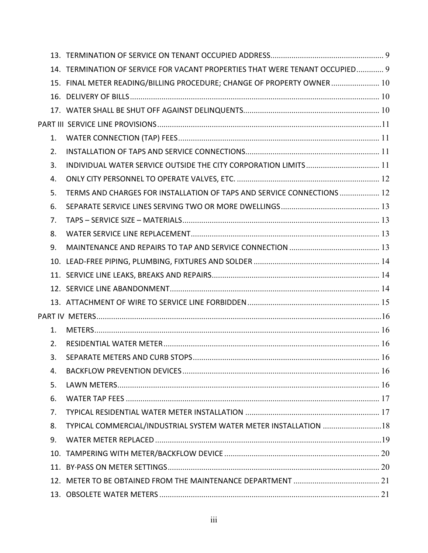|     | 14. TERMINATION OF SERVICE FOR VACANT PROPERTIES THAT WERE TENANT OCCUPIED 9 |  |
|-----|------------------------------------------------------------------------------|--|
|     | 15. FINAL METER READING/BILLING PROCEDURE; CHANGE OF PROPERTY OWNER 10       |  |
|     |                                                                              |  |
|     |                                                                              |  |
|     |                                                                              |  |
| 1.  |                                                                              |  |
| 2.  |                                                                              |  |
| 3.  |                                                                              |  |
| 4.  |                                                                              |  |
| 5.  | TERMS AND CHARGES FOR INSTALLATION OF TAPS AND SERVICE CONNECTIONS  12       |  |
| 6.  |                                                                              |  |
| 7.  |                                                                              |  |
| 8.  |                                                                              |  |
| 9.  |                                                                              |  |
|     |                                                                              |  |
|     |                                                                              |  |
|     |                                                                              |  |
|     |                                                                              |  |
|     |                                                                              |  |
| 1.  |                                                                              |  |
| 2.  |                                                                              |  |
| 3.  |                                                                              |  |
| 4.  |                                                                              |  |
| 5.  |                                                                              |  |
| 6.  |                                                                              |  |
| 7.  |                                                                              |  |
| 8.  | TYPICAL COMMERCIAL/INDUSTRIAL SYSTEM WATER METER INSTALLATION  18            |  |
| 9.  |                                                                              |  |
|     |                                                                              |  |
| 11. |                                                                              |  |
|     |                                                                              |  |
|     |                                                                              |  |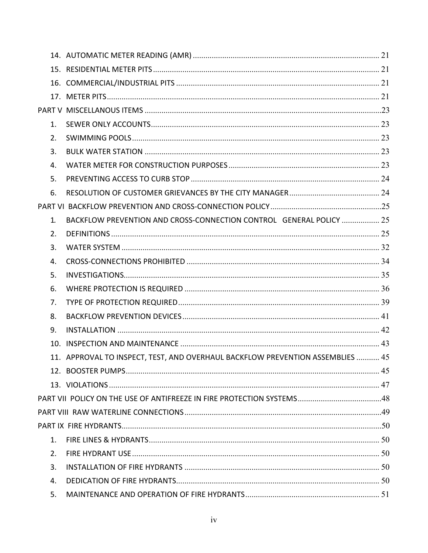| 1. |                                                                                |  |
|----|--------------------------------------------------------------------------------|--|
| 2. |                                                                                |  |
| 3. |                                                                                |  |
| 4. |                                                                                |  |
| 5. |                                                                                |  |
| 6. |                                                                                |  |
|    |                                                                                |  |
| 1. | BACKFLOW PREVENTION AND CROSS-CONNECTION CONTROL GENERAL POLICY  25            |  |
| 2. |                                                                                |  |
| 3. |                                                                                |  |
| 4. |                                                                                |  |
| 5. |                                                                                |  |
| 6. |                                                                                |  |
| 7. |                                                                                |  |
| 8. |                                                                                |  |
| 9. |                                                                                |  |
|    |                                                                                |  |
|    | 11. APPROVAL TO INSPECT, TEST, AND OVERHAUL BACKFLOW PREVENTION ASSEMBLIES  45 |  |
|    |                                                                                |  |
|    |                                                                                |  |
|    |                                                                                |  |
|    |                                                                                |  |
|    |                                                                                |  |
| 1. |                                                                                |  |
| 2. |                                                                                |  |
| 3. |                                                                                |  |
| 4. |                                                                                |  |
| 5. |                                                                                |  |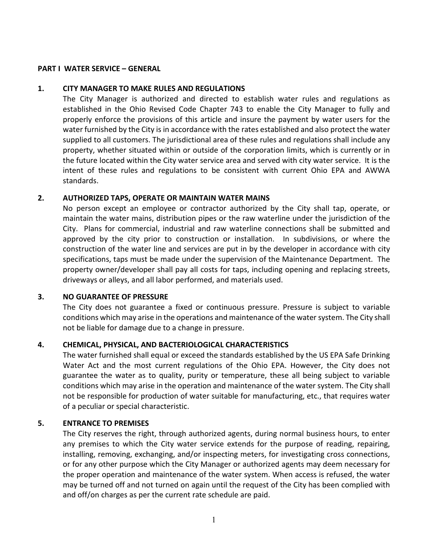#### <span id="page-5-0"></span>**PART I WATER SERVICE – GENERAL**

#### <span id="page-5-1"></span>**1. CITY MANAGER TO MAKE RULES AND REGULATIONS**

The City Manager is authorized and directed to establish water rules and regulations as established in the Ohio Revised Code Chapter 743 to enable the City Manager to fully and properly enforce the provisions of this article and insure the payment by water users for the water furnished by the City is in accordance with the rates established and also protect the water supplied to all customers. The jurisdictional area of these rules and regulations shall include any property, whether situated within or outside of the corporation limits, which is currently or in the future located within the City water service area and served with city water service. It is the intent of these rules and regulations to be consistent with current Ohio EPA and AWWA standards.

#### <span id="page-5-2"></span>**2. AUTHORIZED TAPS, OPERATE OR MAINTAIN WATER MAINS**

No person except an employee or contractor authorized by the City shall tap, operate, or maintain the water mains, distribution pipes or the raw waterline under the jurisdiction of the City. Plans for commercial, industrial and raw waterline connections shall be submitted and approved by the city prior to construction or installation. In subdivisions, or where the construction of the water line and services are put in by the developer in accordance with city specifications, taps must be made under the supervision of the Maintenance Department. The property owner/developer shall pay all costs for taps, including opening and replacing streets, driveways or alleys, and all labor performed, and materials used.

#### <span id="page-5-3"></span>**3. NO GUARANTEE OF PRESSURE**

The City does not guarantee a fixed or continuous pressure. Pressure is subject to variable conditions which may arise in the operations and maintenance of the water system. The City shall not be liable for damage due to a change in pressure.

## <span id="page-5-4"></span>**4. CHEMICAL, PHYSICAL, AND BACTERIOLOGICAL CHARACTERISTICS**

The water furnished shall equal or exceed the standards established by the US EPA Safe Drinking Water Act and the most current regulations of the Ohio EPA. However, the City does not guarantee the water as to quality, purity or temperature, these all being subject to variable conditions which may arise in the operation and maintenance of the water system. The City shall not be responsible for production of water suitable for manufacturing, etc., that requires water of a peculiar or special characteristic.

#### <span id="page-5-5"></span>**5. ENTRANCE TO PREMISES**

The City reserves the right, through authorized agents, during normal business hours, to enter any premises to which the City water service extends for the purpose of reading, repairing, installing, removing, exchanging, and/or inspecting meters, for investigating cross connections, or for any other purpose which the City Manager or authorized agents may deem necessary for the proper operation and maintenance of the water system. When access is refused, the water may be turned off and not turned on again until the request of the City has been complied with and off/on charges as per the current rate schedule are paid.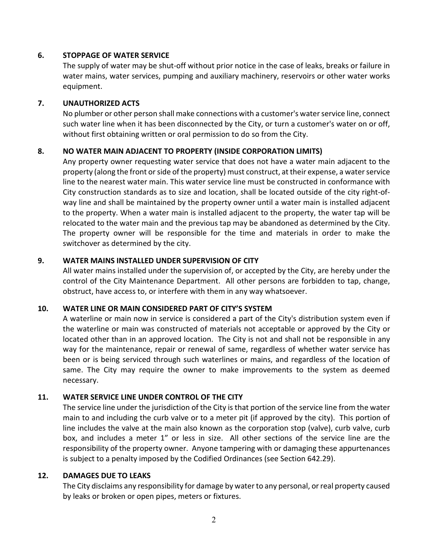## <span id="page-6-0"></span>**6. STOPPAGE OF WATER SERVICE**

The supply of water may be shut-off without prior notice in the case of leaks, breaks or failure in water mains, water services, pumping and auxiliary machinery, reservoirs or other water works equipment.

## <span id="page-6-1"></span>**7. UNAUTHORIZED ACTS**

No plumber or other person shall make connections with a customer's water service line, connect such water line when it has been disconnected by the City, or turn a customer's water on or off, without first obtaining written or oral permission to do so from the City.

## <span id="page-6-2"></span>**8. NO WATER MAIN ADJACENT TO PROPERTY (INSIDE CORPORATION LIMITS)**

Any property owner requesting water service that does not have a water main adjacent to the property (along the front or side of the property) must construct, at their expense, a water service line to the nearest water main. This water service line must be constructed in conformance with City construction standards as to size and location, shall be located outside of the city right-ofway line and shall be maintained by the property owner until a water main is installed adjacent to the property. When a water main is installed adjacent to the property, the water tap will be relocated to the water main and the previous tap may be abandoned as determined by the City. The property owner will be responsible for the time and materials in order to make the switchover as determined by the city.

## <span id="page-6-3"></span>**9. WATER MAINS INSTALLED UNDER SUPERVISION OF CITY**

All water mains installed under the supervision of, or accepted by the City, are hereby under the control of the City Maintenance Department. All other persons are forbidden to tap, change, obstruct, have access to, or interfere with them in any way whatsoever.

## <span id="page-6-4"></span>**10. WATER LINE OR MAIN CONSIDERED PART OF CITY'S SYSTEM**

A waterline or main now in service is considered a part of the City's distribution system even if the waterline or main was constructed of materials not acceptable or approved by the City or located other than in an approved location. The City is not and shall not be responsible in any way for the maintenance, repair or renewal of same, regardless of whether water service has been or is being serviced through such waterlines or mains, and regardless of the location of same. The City may require the owner to make improvements to the system as deemed necessary.

## <span id="page-6-5"></span>**11. WATER SERVICE LINE UNDER CONTROL OF THE CITY**

The service line under the jurisdiction of the City is that portion of the service line from the water main to and including the curb valve or to a meter pit (if approved by the city). This portion of line includes the valve at the main also known as the corporation stop (valve), curb valve, curb box, and includes a meter 1" or less in size. All other sections of the service line are the responsibility of the property owner. Anyone tampering with or damaging these appurtenances is subject to a penalty imposed by the Codified Ordinances (see Section 642.29).

## <span id="page-6-6"></span>**12. DAMAGES DUE TO LEAKS**

The City disclaims any responsibility for damage by water to any personal, or real property caused by leaks or broken or open pipes, meters or fixtures.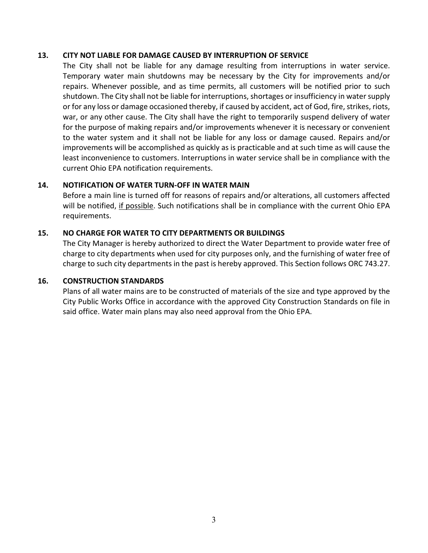#### <span id="page-7-0"></span>**13. CITY NOT LIABLE FOR DAMAGE CAUSED BY INTERRUPTION OF SERVICE**

The City shall not be liable for any damage resulting from interruptions in water service. Temporary water main shutdowns may be necessary by the City for improvements and/or repairs. Whenever possible, and as time permits, all customers will be notified prior to such shutdown. The City shall not be liable for interruptions, shortages or insufficiency in water supply or for any loss or damage occasioned thereby, if caused by accident, act of God, fire, strikes, riots, war, or any other cause. The City shall have the right to temporarily suspend delivery of water for the purpose of making repairs and/or improvements whenever it is necessary or convenient to the water system and it shall not be liable for any loss or damage caused. Repairs and/or improvements will be accomplished as quickly as is practicable and at such time as will cause the least inconvenience to customers. Interruptions in water service shall be in compliance with the current Ohio EPA notification requirements.

## <span id="page-7-1"></span>**14. NOTIFICATION OF WATER TURN-OFF IN WATER MAIN**

Before a main line is turned off for reasons of repairs and/or alterations, all customers affected will be notified, if possible. Such notifications shall be in compliance with the current Ohio EPA requirements.

#### <span id="page-7-2"></span>**15. NO CHARGE FOR WATER TO CITY DEPARTMENTS OR BUILDINGS**

The City Manager is hereby authorized to direct the Water Department to provide water free of charge to city departments when used for city purposes only, and the furnishing of water free of charge to such city departments in the past is hereby approved. This Section follows ORC 743.27.

#### <span id="page-7-3"></span>**16. CONSTRUCTION STANDARDS**

Plans of all water mains are to be constructed of materials of the size and type approved by the City Public Works Office in accordance with the approved City Construction Standards on file in said office. Water main plans may also need approval from the Ohio EPA.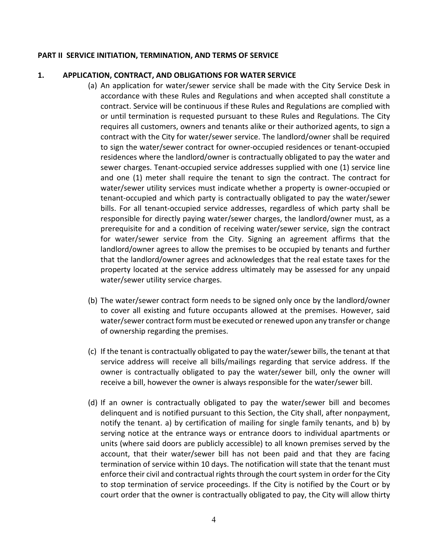#### <span id="page-8-0"></span>**PART II SERVICE INITIATION, TERMINATION, AND TERMS OF SERVICE**

## <span id="page-8-1"></span>**1. APPLICATION, CONTRACT, AND OBLIGATIONS FOR WATER SERVICE**

- (a) An application for water/sewer service shall be made with the City Service Desk in accordance with these Rules and Regulations and when accepted shall constitute a contract. Service will be continuous if these Rules and Regulations are complied with or until termination is requested pursuant to these Rules and Regulations. The City requires all customers, owners and tenants alike or their authorized agents, to sign a contract with the City for water/sewer service. The landlord/owner shall be required to sign the water/sewer contract for owner-occupied residences or tenant-occupied residences where the landlord/owner is contractually obligated to pay the water and sewer charges. Tenant-occupied service addresses supplied with one (1) service line and one (1) meter shall require the tenant to sign the contract. The contract for water/sewer utility services must indicate whether a property is owner-occupied or tenant-occupied and which party is contractually obligated to pay the water/sewer bills. For all tenant-occupied service addresses, regardless of which party shall be responsible for directly paying water/sewer charges, the landlord/owner must, as a prerequisite for and a condition of receiving water/sewer service, sign the contract for water/sewer service from the City. Signing an agreement affirms that the landlord/owner agrees to allow the premises to be occupied by tenants and further that the landlord/owner agrees and acknowledges that the real estate taxes for the property located at the service address ultimately may be assessed for any unpaid water/sewer utility service charges.
- (b) The water/sewer contract form needs to be signed only once by the landlord/owner to cover all existing and future occupants allowed at the premises. However, said water/sewer contract form must be executed or renewed upon any transfer or change of ownership regarding the premises.
- (c) If the tenant is contractually obligated to pay the water/sewer bills, the tenant at that service address will receive all bills/mailings regarding that service address. If the owner is contractually obligated to pay the water/sewer bill, only the owner will receive a bill, however the owner is always responsible for the water/sewer bill.
- (d) If an owner is contractually obligated to pay the water/sewer bill and becomes delinquent and is notified pursuant to this Section, the City shall, after nonpayment, notify the tenant. a) by certification of mailing for single family tenants, and b) by serving notice at the entrance ways or entrance doors to individual apartments or units (where said doors are publicly accessible) to all known premises served by the account, that their water/sewer bill has not been paid and that they are facing termination of service within 10 days. The notification will state that the tenant must enforce their civil and contractual rights through the court system in order for the City to stop termination of service proceedings. If the City is notified by the Court or by court order that the owner is contractually obligated to pay, the City will allow thirty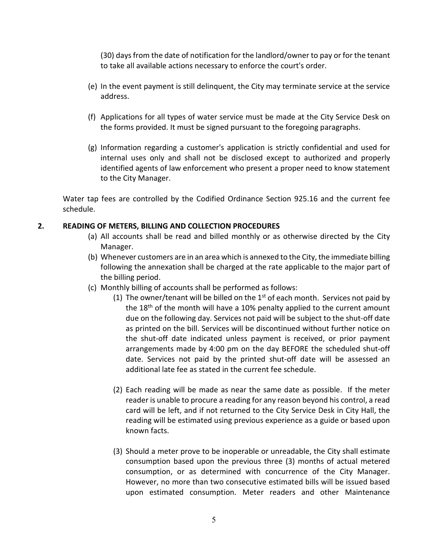(30) days from the date of notification for the landlord/owner to pay or for the tenant to take all available actions necessary to enforce the court's order.

- (e) In the event payment is still delinquent, the City may terminate service at the service address.
- (f) Applications for all types of water service must be made at the City Service Desk on the forms provided. It must be signed pursuant to the foregoing paragraphs.
- (g) Information regarding a customer's application is strictly confidential and used for internal uses only and shall not be disclosed except to authorized and properly identified agents of law enforcement who present a proper need to know statement to the City Manager.

Water tap fees are controlled by the Codified Ordinance Section 925.16 and the current fee schedule.

## <span id="page-9-0"></span>**2. READING OF METERS, BILLING AND COLLECTION PROCEDURES**

- (a) All accounts shall be read and billed monthly or as otherwise directed by the City Manager.
- (b) Whenever customers are in an area which is annexed to the City, the immediate billing following the annexation shall be charged at the rate applicable to the major part of the billing period.
- (c) Monthly billing of accounts shall be performed as follows:
	- (1) The owner/tenant will be billed on the  $1<sup>st</sup>$  of each month. Services not paid by the  $18<sup>th</sup>$  of the month will have a 10% penalty applied to the current amount due on the following day. Services not paid will be subject to the shut-off date as printed on the bill. Services will be discontinued without further notice on the shut-off date indicated unless payment is received, or prior payment arrangements made by 4:00 pm on the day BEFORE the scheduled shut-off date. Services not paid by the printed shut-off date will be assessed an additional late fee as stated in the current fee schedule.
	- (2) Each reading will be made as near the same date as possible. If the meter reader is unable to procure a reading for any reason beyond his control, a read card will be left, and if not returned to the City Service Desk in City Hall, the reading will be estimated using previous experience as a guide or based upon known facts.
	- (3) Should a meter prove to be inoperable or unreadable, the City shall estimate consumption based upon the previous three (3) months of actual metered consumption, or as determined with concurrence of the City Manager. However, no more than two consecutive estimated bills will be issued based upon estimated consumption. Meter readers and other Maintenance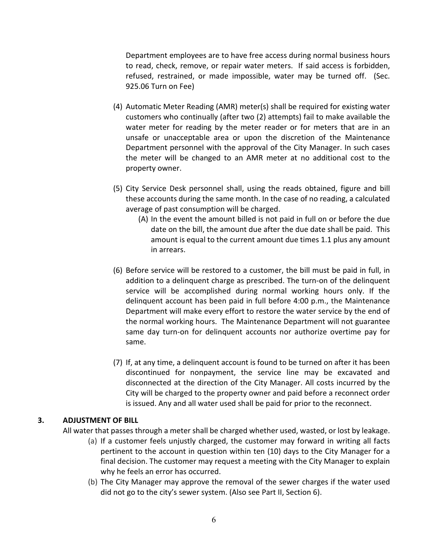Department employees are to have free access during normal business hours to read, check, remove, or repair water meters. If said access is forbidden, refused, restrained, or made impossible, water may be turned off. (Sec. 925.06 Turn on Fee)

- (4) Automatic Meter Reading (AMR) meter(s) shall be required for existing water customers who continually (after two (2) attempts) fail to make available the water meter for reading by the meter reader or for meters that are in an unsafe or unacceptable area or upon the discretion of the Maintenance Department personnel with the approval of the City Manager. In such cases the meter will be changed to an AMR meter at no additional cost to the property owner.
- (5) City Service Desk personnel shall, using the reads obtained, figure and bill these accounts during the same month. In the case of no reading, a calculated average of past consumption will be charged.
	- (A) In the event the amount billed is not paid in full on or before the due date on the bill, the amount due after the due date shall be paid. This amount is equal to the current amount due times 1.1 plus any amount in arrears.
- (6) Before service will be restored to a customer, the bill must be paid in full, in addition to a delinquent charge as prescribed. The turn-on of the delinquent service will be accomplished during normal working hours only. If the delinquent account has been paid in full before 4:00 p.m., the Maintenance Department will make every effort to restore the water service by the end of the normal working hours. The Maintenance Department will not guarantee same day turn-on for delinquent accounts nor authorize overtime pay for same.
- (7) If, at any time, a delinquent account is found to be turned on after it has been discontinued for nonpayment, the service line may be excavated and disconnected at the direction of the City Manager. All costs incurred by the City will be charged to the property owner and paid before a reconnect order is issued. Any and all water used shall be paid for prior to the reconnect.

## <span id="page-10-0"></span>**3. ADJUSTMENT OF BILL**

All water that passes through a meter shall be charged whether used, wasted, or lost by leakage.

- (a) If a customer feels unjustly charged, the customer may forward in writing all facts pertinent to the account in question within ten (10) days to the City Manager for a final decision. The customer may request a meeting with the City Manager to explain why he feels an error has occurred.
- (b) The City Manager may approve the removal of the sewer charges if the water used did not go to the city's sewer system. (Also see Part II, Section 6).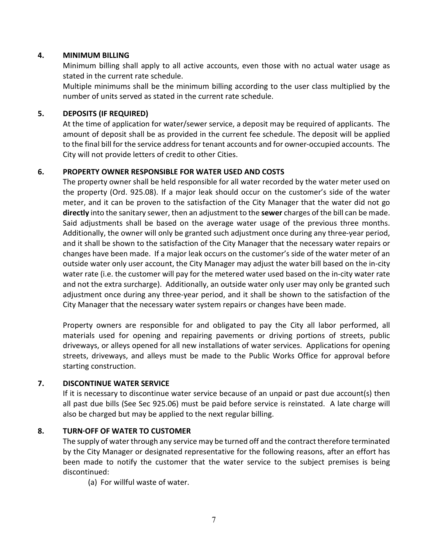## <span id="page-11-0"></span>**4. MINIMUM BILLING**

Minimum billing shall apply to all active accounts, even those with no actual water usage as stated in the current rate schedule.

Multiple minimums shall be the minimum billing according to the user class multiplied by the number of units served as stated in the current rate schedule.

## <span id="page-11-1"></span>**5. DEPOSITS (IF REQUIRED)**

At the time of application for water/sewer service, a deposit may be required of applicants. The amount of deposit shall be as provided in the current fee schedule. The deposit will be applied to the final bill for the service address for tenant accounts and for owner-occupied accounts. The City will not provide letters of credit to other Cities.

## <span id="page-11-2"></span>**6. PROPERTY OWNER RESPONSIBLE FOR WATER USED AND COSTS**

The property owner shall be held responsible for all water recorded by the water meter used on the property (Ord. 925.08). If a major leak should occur on the customer's side of the water meter, and it can be proven to the satisfaction of the City Manager that the water did not go **directly** into the sanitary sewer, then an adjustment to the **sewer** charges of the bill can be made. Said adjustments shall be based on the average water usage of the previous three months. Additionally, the owner will only be granted such adjustment once during any three-year period, and it shall be shown to the satisfaction of the City Manager that the necessary water repairs or changes have been made. If a major leak occurs on the customer's side of the water meter of an outside water only user account, the City Manager may adjust the water bill based on the in-city water rate (i.e. the customer will pay for the metered water used based on the in-city water rate and not the extra surcharge). Additionally, an outside water only user may only be granted such adjustment once during any three-year period, and it shall be shown to the satisfaction of the City Manager that the necessary water system repairs or changes have been made.

Property owners are responsible for and obligated to pay the City all labor performed, all materials used for opening and repairing pavements or driving portions of streets, public driveways, or alleys opened for all new installations of water services. Applications for opening streets, driveways, and alleys must be made to the Public Works Office for approval before starting construction.

## <span id="page-11-3"></span>**7. DISCONTINUE WATER SERVICE**

If it is necessary to discontinue water service because of an unpaid or past due account(s) then all past due bills (See Sec 925.06) must be paid before service is reinstated. A late charge will also be charged but may be applied to the next regular billing.

## <span id="page-11-4"></span>**8. TURN·OFF OF WATER TO CUSTOMER**

The supply of water through any service may be turned off and the contract therefore terminated by the City Manager or designated representative for the following reasons, after an effort has been made to notify the customer that the water service to the subject premises is being discontinued:

(a) For willful waste of water.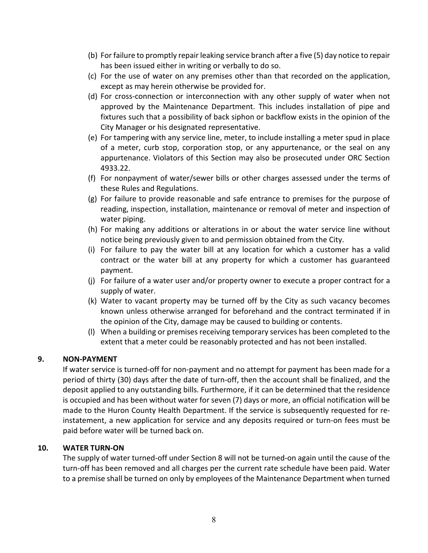- (b) For failure to promptly repair leaking service branch after a five (5) day notice to repair has been issued either in writing or verbally to do so.
- (c) For the use of water on any premises other than that recorded on the application, except as may herein otherwise be provided for.
- (d) For cross-connection or interconnection with any other supply of water when not approved by the Maintenance Department. This includes installation of pipe and fixtures such that a possibility of back siphon or backflow exists in the opinion of the City Manager or his designated representative.
- (e) For tampering with any service line, meter, to include installing a meter spud in place of a meter, curb stop, corporation stop, or any appurtenance, or the seal on any appurtenance. Violators of this Section may also be prosecuted under ORC Section 4933.22.
- (f) For nonpayment of water/sewer bills or other charges assessed under the terms of these Rules and Regulations.
- (g) For failure to provide reasonable and safe entrance to premises for the purpose of reading, inspection, installation, maintenance or removal of meter and inspection of water piping.
- (h) For making any additions or alterations in or about the water service line without notice being previously given to and permission obtained from the City.
- (i) For failure to pay the water bill at any location for which a customer has a valid contract or the water bill at any property for which a customer has guaranteed payment.
- (j) For failure of a water user and/or property owner to execute a proper contract for a supply of water.
- (k) Water to vacant property may be turned off by the City as such vacancy becomes known unless otherwise arranged for beforehand and the contract terminated if in the opinion of the City, damage may be caused to building or contents.
- (l) When a building or premises receiving temporary services has been completed to the extent that a meter could be reasonably protected and has not been installed.

# <span id="page-12-0"></span>**9. NON-PAYMENT**

If water service is turned-off for non-payment and no attempt for payment has been made for a period of thirty (30) days after the date of turn-off, then the account shall be finalized, and the deposit applied to any outstanding bills. Furthermore, if it can be determined that the residence is occupied and has been without water for seven (7) days or more, an official notification will be made to the Huron County Health Department. If the service is subsequently requested for reinstatement, a new application for service and any deposits required or turn-on fees must be paid before water will be turned back on.

# <span id="page-12-1"></span>**10. WATER TURN-ON**

The supply of water turned-off under Section 8 will not be turned-on again until the cause of the turn-off has been removed and all charges per the current rate schedule have been paid. Water to a premise shall be turned on only by employees of the Maintenance Department when turned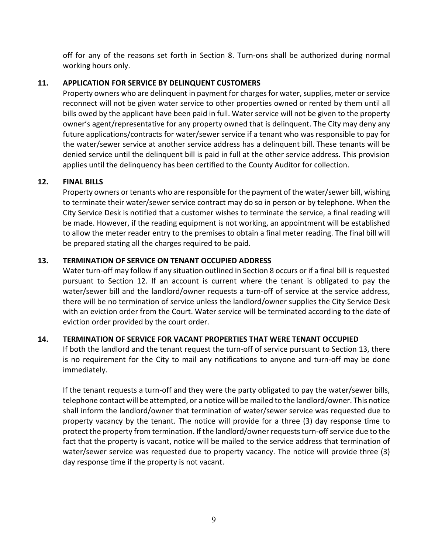off for any of the reasons set forth in Section 8. Turn-ons shall be authorized during normal working hours only.

# <span id="page-13-0"></span>**11. APPLICATION FOR SERVICE BY DELINQUENT CUSTOMERS**

Property owners who are delinquent in payment for charges for water, supplies, meter or service reconnect will not be given water service to other properties owned or rented by them until all bills owed by the applicant have been paid in full. Water service will not be given to the property owner's agent/representative for any property owned that is delinquent. The City may deny any future applications/contracts for water/sewer service if a tenant who was responsible to pay for the water/sewer service at another service address has a delinquent bill. These tenants will be denied service until the delinquent bill is paid in full at the other service address. This provision applies until the delinquency has been certified to the County Auditor for collection.

# <span id="page-13-1"></span>**12. FINAL BILLS**

Property owners or tenants who are responsible for the payment of the water/sewer bill, wishing to terminate their water/sewer service contract may do so in person or by telephone. When the City Service Desk is notified that a customer wishes to terminate the service, a final reading will be made. However, if the reading equipment is not working, an appointment will be established to allow the meter reader entry to the premises to obtain a final meter reading. The final bill will be prepared stating all the charges required to be paid.

# <span id="page-13-2"></span>**13. TERMINATION OF SERVICE ON TENANT OCCUPIED ADDRESS**

Water turn-off may follow if any situation outlined in Section 8 occurs or if a final bill is requested pursuant to Section 12. If an account is current where the tenant is obligated to pay the water/sewer bill and the landlord/owner requests a turn-off of service at the service address, there will be no termination of service unless the landlord/owner supplies the City Service Desk with an eviction order from the Court. Water service will be terminated according to the date of eviction order provided by the court order.

# <span id="page-13-3"></span>**14. TERMINATION OF SERVICE FOR VACANT PROPERTIES THAT WERE TENANT OCCUPIED**

If both the landlord and the tenant request the turn-off of service pursuant to Section 13, there is no requirement for the City to mail any notifications to anyone and turn-off may be done immediately.

If the tenant requests a turn-off and they were the party obligated to pay the water/sewer bills, telephone contact will be attempted, or a notice will be mailed to the landlord/owner. This notice shall inform the landlord/owner that termination of water/sewer service was requested due to property vacancy by the tenant. The notice will provide for a three (3) day response time to protect the property from termination. If the landlord/owner requests turn-off service due to the fact that the property is vacant, notice will be mailed to the service address that termination of water/sewer service was requested due to property vacancy. The notice will provide three (3) day response time if the property is not vacant.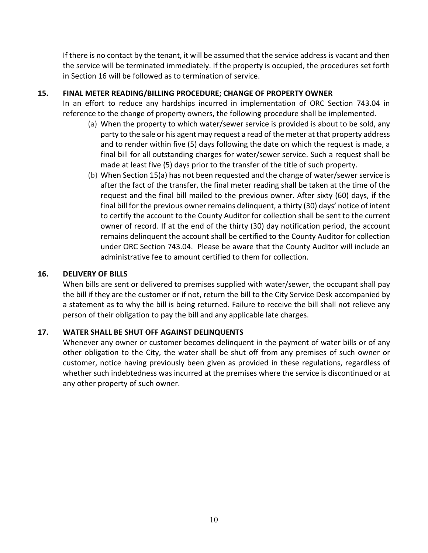If there is no contact by the tenant, it will be assumed that the service address is vacant and then the service will be terminated immediately. If the property is occupied, the procedures set forth in Section 16 will be followed as to termination of service.

## <span id="page-14-0"></span>**15. FINAL METER READING/BILLING PROCEDURE; CHANGE OF PROPERTY OWNER**

In an effort to reduce any hardships incurred in implementation of ORC Section 743.04 in reference to the change of property owners, the following procedure shall be implemented.

- (a) When the property to which water/sewer service is provided is about to be sold, any party to the sale or his agent may request a read of the meter at that property address and to render within five (5) days following the date on which the request is made, a final bill for all outstanding charges for water/sewer service. Such a request shall be made at least five (5) days prior to the transfer of the title of such property.
- (b) When Section 15(a) has not been requested and the change of water/sewer service is after the fact of the transfer, the final meter reading shall be taken at the time of the request and the final bill mailed to the previous owner. After sixty (60) days, if the final bill for the previous owner remains delinquent, a thirty (30) days' notice of intent to certify the account to the County Auditor for collection shall be sent to the current owner of record. If at the end of the thirty (30) day notification period, the account remains delinquent the account shall be certified to the County Auditor for collection under ORC Section 743.04. Please be aware that the County Auditor will include an administrative fee to amount certified to them for collection.

## <span id="page-14-1"></span>**16. DELIVERY OF BILLS**

When bills are sent or delivered to premises supplied with water/sewer, the occupant shall pay the bill if they are the customer or if not, return the bill to the City Service Desk accompanied by a statement as to why the bill is being returned. Failure to receive the bill shall not relieve any person of their obligation to pay the bill and any applicable late charges.

# <span id="page-14-2"></span>**17. WATER SHALL BE SHUT OFF AGAINST DELINQUENTS**

Whenever any owner or customer becomes delinquent in the payment of water bills or of any other obligation to the City, the water shall be shut off from any premises of such owner or customer, notice having previously been given as provided in these regulations, regardless of whether such indebtedness was incurred at the premises where the service is discontinued or at any other property of such owner.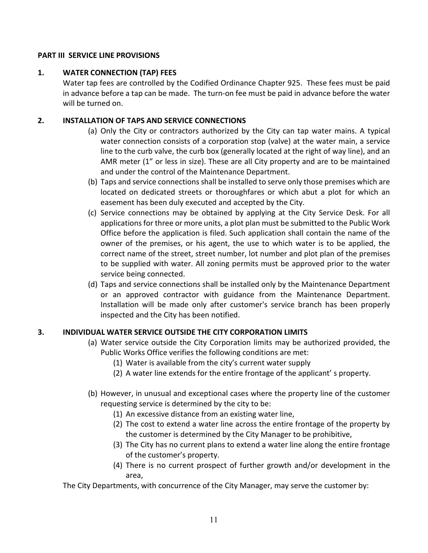## <span id="page-15-0"></span>**PART III SERVICE LINE PROVISIONS**

## <span id="page-15-1"></span>**1. WATER CONNECTION (TAP) FEES**

Water tap fees are controlled by the Codified Ordinance Chapter 925. These fees must be paid in advance before a tap can be made. The turn-on fee must be paid in advance before the water will be turned on.

## <span id="page-15-2"></span>**2. INSTALLATION OF TAPS AND SERVICE CONNECTIONS**

- (a) Only the City or contractors authorized by the City can tap water mains. A typical water connection consists of a corporation stop (valve) at the water main, a service line to the curb valve, the curb box (generally located at the right of way line), and an AMR meter (1" or less in size). These are all City property and are to be maintained and under the control of the Maintenance Department.
- (b) Taps and service connections shall be installed to serve only those premises which are located on dedicated streets or thoroughfares or which abut a plot for which an easement has been duly executed and accepted by the City.
- (c) Service connections may be obtained by applying at the City Service Desk. For all applications for three or more units, a plot plan must be submitted to the Public Work Office before the application is filed. Such application shall contain the name of the owner of the premises, or his agent, the use to which water is to be applied, the correct name of the street, street number, lot number and plot plan of the premises to be supplied with water. All zoning permits must be approved prior to the water service being connected.
- (d) Taps and service connections shall be installed only by the Maintenance Department or an approved contractor with guidance from the Maintenance Department. Installation will be made only after customer's service branch has been properly inspected and the City has been notified.

# <span id="page-15-3"></span>**3. INDIVIDUAL WATER SERVICE OUTSIDE THE CITY CORPORATION LIMITS**

- (a) Water service outside the City Corporation limits may be authorized provided, the Public Works Office verifies the following conditions are met:
	- (1) Water is available from the city's current water supply
	- (2) A water line extends for the entire frontage of the applicant' s property.
- (b) However, in unusual and exceptional cases where the property line of the customer requesting service is determined by the city to be:
	- (1) An excessive distance from an existing water line,
	- (2) The cost to extend a water line across the entire frontage of the property by the customer is determined by the City Manager to be prohibitive,
	- (3) The City has no current plans to extend a water line along the entire frontage of the customer's property.
	- (4) There is no current prospect of further growth and/or development in the area,

The City Departments, with concurrence of the City Manager, may serve the customer by: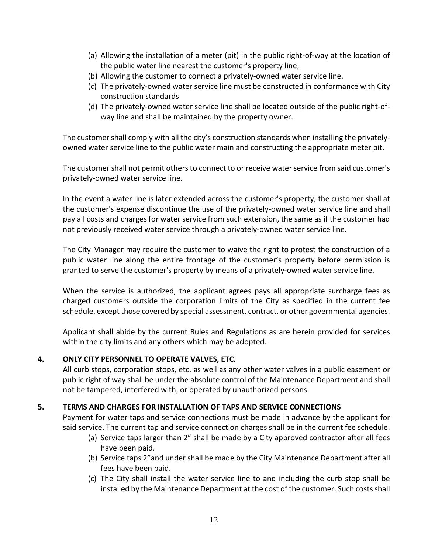- (a) Allowing the installation of a meter (pit) in the public right-of-way at the location of the public water line nearest the customer's property line,
- (b) Allowing the customer to connect a privately-owned water service line.
- (c) The privately-owned water service line must be constructed in conformance with City construction standards
- (d) The privately-owned water service line shall be located outside of the public right-ofway line and shall be maintained by the property owner.

The customer shall comply with all the city's construction standards when installing the privatelyowned water service line to the public water main and constructing the appropriate meter pit.

The customer shall not permit others to connect to or receive water service from said customer's privately-owned water service line.

In the event a water line is later extended across the customer's property, the customer shall at the customer's expense discontinue the use of the privately-owned water service line and shall pay all costs and charges for water service from such extension, the same as if the customer had not previously received water service through a privately-owned water service line.

The City Manager may require the customer to waive the right to protest the construction of a public water line along the entire frontage of the customer's property before permission is granted to serve the customer's property by means of a privately-owned water service line.

When the service is authorized, the applicant agrees pays all appropriate surcharge fees as charged customers outside the corporation limits of the City as specified in the current fee schedule. except those covered by special assessment, contract, or other governmental agencies.

Applicant shall abide by the current Rules and Regulations as are herein provided for services within the city limits and any others which may be adopted.

# <span id="page-16-0"></span>**4. ONLY CITY PERSONNEL TO OPERATE VALVES, ETC.**

All curb stops, corporation stops, etc. as well as any other water valves in a public easement or public right of way shall be under the absolute control of the Maintenance Department and shall not be tampered, interfered with, or operated by unauthorized persons.

# <span id="page-16-1"></span>**5. TERMS AND CHARGES FOR INSTALLATION OF TAPS AND SERVICE CONNECTIONS**

Payment for water taps and service connections must be made in advance by the applicant for said service. The current tap and service connection charges shall be in the current fee schedule.

- (a) Service taps larger than 2" shall be made by a City approved contractor after all fees have been paid.
- (b) Service taps 2"and under shall be made by the City Maintenance Department after all fees have been paid.
- (c) The City shall install the water service line to and including the curb stop shall be installed by the Maintenance Department at the cost of the customer. Such costsshall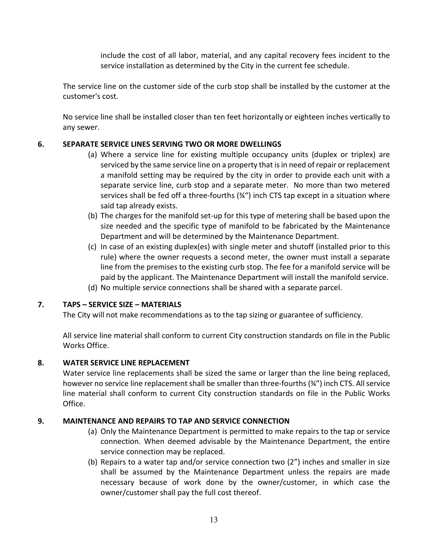include the cost of all labor, material, and any capital recovery fees incident to the service installation as determined by the City in the current fee schedule.

The service line on the customer side of the curb stop shall be installed by the customer at the customer's cost.

No service line shall be installed closer than ten feet horizontally or eighteen inches vertically to any sewer.

# <span id="page-17-0"></span>**6. SEPARATE SERVICE LINES SERVING TWO OR MORE DWELLINGS**

- (a) Where a service line for existing multiple occupancy units (duplex or triplex) are serviced by the same service line on a property that is in need of repair or replacement a manifold setting may be required by the city in order to provide each unit with a separate service line, curb stop and a separate meter. No more than two metered services shall be fed off a three-fourths (34") inch CTS tap except in a situation where said tap already exists.
- (b) The charges for the manifold set-up for this type of metering shall be based upon the size needed and the specific type of manifold to be fabricated by the Maintenance Department and will be determined by the Maintenance Department.
- (c) In case of an existing duplex(es) with single meter and shutoff (installed prior to this rule) where the owner requests a second meter, the owner must install a separate line from the premises to the existing curb stop. The fee for a manifold service will be paid by the applicant. The Maintenance Department will install the manifold service.
- (d) No multiple service connections shall be shared with a separate parcel.

# <span id="page-17-1"></span>**7. TAPS – SERVICE SIZE – MATERIALS**

The City will not make recommendations as to the tap sizing or guarantee of sufficiency.

All service line material shall conform to current City construction standards on file in the Public Works Office.

# <span id="page-17-2"></span>**8. WATER SERVICE LINE REPLACEMENT**

Water service line replacements shall be sized the same or larger than the line being replaced, however no service line replacement shall be smaller than three-fourths (¾") inch CTS. All service line material shall conform to current City construction standards on file in the Public Works Office.

# <span id="page-17-3"></span>**9. MAINTENANCE AND REPAIRS TO TAP AND SERVICE CONNECTION**

- (a) Only the Maintenance Department is permitted to make repairs to the tap or service connection. When deemed advisable by the Maintenance Department, the entire service connection may be replaced.
- (b) Repairs to a water tap and/or service connection two (2") inches and smaller in size shall be assumed by the Maintenance Department unless the repairs are made necessary because of work done by the owner/customer, in which case the owner/customer shall pay the full cost thereof.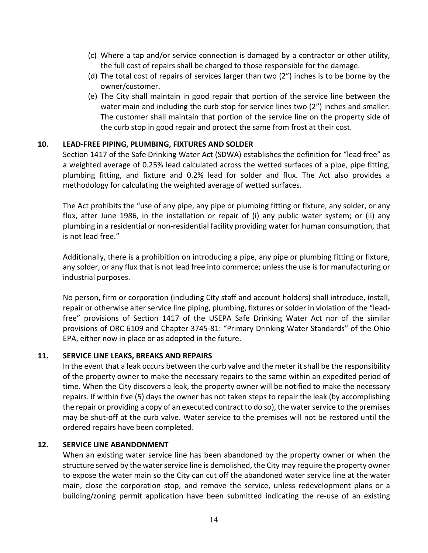- (c) Where a tap and/or service connection is damaged by a contractor or other utility, the full cost of repairs shall be charged to those responsible for the damage.
- (d) The total cost of repairs of services larger than two (2") inches is to be borne by the owner/customer.
- (e) The City shall maintain in good repair that portion of the service line between the water main and including the curb stop for service lines two (2") inches and smaller. The customer shall maintain that portion of the service line on the property side of the curb stop in good repair and protect the same from frost at their cost.

## <span id="page-18-0"></span>**10. LEAD-FREE PIPING, PLUMBING, FIXTURES AND SOLDER**

Section 1417 of the Safe Drinking Water Act (SDWA) establishes the definition for "lead free" as a weighted average of 0.25% lead calculated across the wetted surfaces of a pipe, pipe fitting, plumbing fitting, and fixture and 0.2% lead for solder and flux. The Act also provides a methodology for calculating the weighted average of wetted surfaces.

The Act prohibits the "use of any pipe, any pipe or plumbing fitting or fixture, any solder, or any flux, after June 1986, in the installation or repair of (i) any public water system; or (ii) any plumbing in a residential or non-residential facility providing water for human consumption, that is not lead free."

Additionally, there is a prohibition on introducing a pipe, any pipe or plumbing fitting or fixture, any solder, or any flux that is not lead free into commerce; unless the use is for manufacturing or industrial purposes.

No person, firm or corporation (including City staff and account holders) shall introduce, install, repair or otherwise alter service line piping, plumbing, fixtures or solder in violation of the "leadfree" provisions of Section 1417 of the USEPA Safe Drinking Water Act nor of the similar provisions of ORC 6109 and Chapter 3745-81: "Primary Drinking Water Standards" of the Ohio EPA, either now in place or as adopted in the future.

#### <span id="page-18-1"></span>**11. SERVICE LINE LEAKS, BREAKS AND REPAIRS**

In the event that a leak occurs between the curb valve and the meter it shall be the responsibility of the property owner to make the necessary repairs to the same within an expedited period of time. When the City discovers a leak, the property owner will be notified to make the necessary repairs. If within five (5) days the owner has not taken steps to repair the leak (by accomplishing the repair or providing a copy of an executed contract to do so), the water service to the premises may be shut-off at the curb valve. Water service to the premises will not be restored until the ordered repairs have been completed.

#### <span id="page-18-2"></span>**12. SERVICE LINE ABANDONMENT**

When an existing water service line has been abandoned by the property owner or when the structure served by the water service line is demolished, the City may require the property owner to expose the water main so the City can cut off the abandoned water service line at the water main, close the corporation stop, and remove the service, unless redevelopment plans or a building/zoning permit application have been submitted indicating the re-use of an existing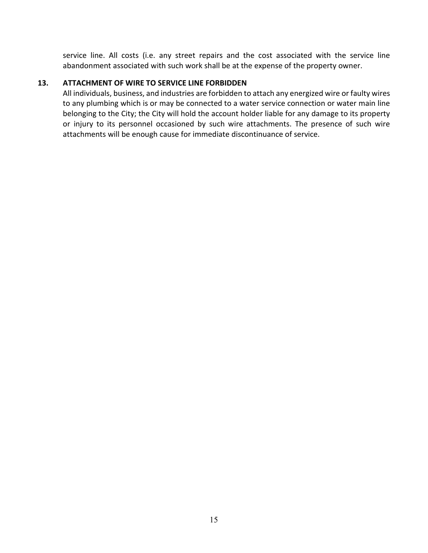service line. All costs (i.e. any street repairs and the cost associated with the service line abandonment associated with such work shall be at the expense of the property owner.

## <span id="page-19-0"></span>**13. ATTACHMENT OF WIRE TO SERVICE LINE FORBIDDEN**

All individuals, business, and industries are forbidden to attach any energized wire or faulty wires to any plumbing which is or may be connected to a water service connection or water main line belonging to the City; the City will hold the account holder liable for any damage to its property or injury to its personnel occasioned by such wire attachments. The presence of such wire attachments will be enough cause for immediate discontinuance of service.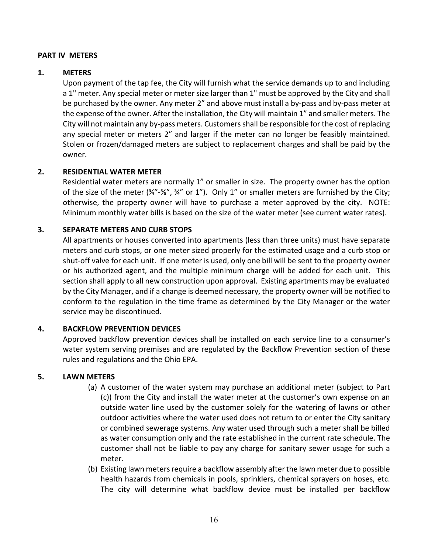#### <span id="page-20-0"></span>**PART IV METERS**

#### <span id="page-20-1"></span>**1. METERS**

Upon payment of the tap fee, the City will furnish what the service demands up to and including a 1" meter. Any special meter or meter size larger than 1" must be approved by the City and shall be purchased by the owner. Any meter 2" and above must install a by-pass and by-pass meter at the expense of the owner. After the installation, the City will maintain 1" and smaller meters. The City will not maintain any by-pass meters. Customers shall be responsible for the cost of replacing any special meter or meters 2" and larger if the meter can no longer be feasibly maintained. Stolen or frozen/damaged meters are subject to replacement charges and shall be paid by the owner.

## <span id="page-20-2"></span>**2. RESIDENTIAL WATER METER**

Residential water meters are normally 1" or smaller in size. The property owner has the option of the size of the meter  $(\frac{3}{4}$ "- $\frac{5}{8}$ ",  $\frac{3}{4}$ " or 1"). Only 1" or smaller meters are furnished by the City; otherwise, the property owner will have to purchase a meter approved by the city. NOTE: Minimum monthly water bills is based on the size of the water meter (see current water rates).

## <span id="page-20-3"></span>**3. SEPARATE METERS AND CURB STOPS**

All apartments or houses converted into apartments (less than three units) must have separate meters and curb stops, or one meter sized properly for the estimated usage and a curb stop or shut-off valve for each unit. If one meter is used, only one bill will be sent to the property owner or his authorized agent, and the multiple minimum charge will be added for each unit. This section shall apply to all new construction upon approval. Existing apartments may be evaluated by the City Manager, and if a change is deemed necessary, the property owner will be notified to conform to the regulation in the time frame as determined by the City Manager or the water service may be discontinued.

## <span id="page-20-4"></span>**4. BACKFLOW PREVENTION DEVICES**

Approved backflow prevention devices shall be installed on each service line to a consumer's water system serving premises and are regulated by the Backflow Prevention section of these rules and regulations and the Ohio EPA.

#### <span id="page-20-5"></span>**5. LAWN METERS**

- (a) A customer of the water system may purchase an additional meter (subject to Part (c)) from the City and install the water meter at the customer's own expense on an outside water line used by the customer solely for the watering of lawns or other outdoor activities where the water used does not return to or enter the City sanitary or combined sewerage systems. Any water used through such a meter shall be billed as water consumption only and the rate established in the current rate schedule. The customer shall not be liable to pay any charge for sanitary sewer usage for such a meter.
- (b) Existing lawn meters require a backflow assembly after the lawn meter due to possible health hazards from chemicals in pools, sprinklers, chemical sprayers on hoses, etc. The city will determine what backflow device must be installed per backflow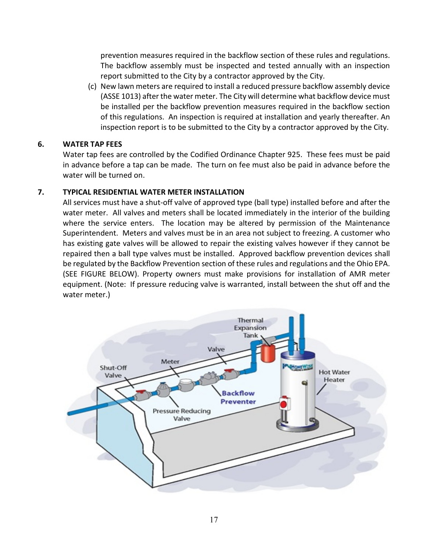prevention measures required in the backflow section of these rules and regulations. The backflow assembly must be inspected and tested annually with an inspection report submitted to the City by a contractor approved by the City.

(c) New lawn meters are required to install a reduced pressure backflow assembly device (ASSE 1013) after the water meter. The City will determine what backflow device must be installed per the backflow prevention measures required in the backflow section of this regulations. An inspection is required at installation and yearly thereafter. An inspection report is to be submitted to the City by a contractor approved by the City.

## <span id="page-21-0"></span>**6. WATER TAP FEES**

Water tap fees are controlled by the Codified Ordinance Chapter 925. These fees must be paid in advance before a tap can be made. The turn on fee must also be paid in advance before the water will be turned on.

## <span id="page-21-1"></span>**7. TYPICAL RESIDENTIAL WATER METER INSTALLATION**

All services must have a shut-off valve of approved type (ball type) installed before and after the water meter. All valves and meters shall be located immediately in the interior of the building where the service enters. The location may be altered by permission of the Maintenance Superintendent. Meters and valves must be in an area not subject to freezing. A customer who has existing gate valves will be allowed to repair the existing valves however if they cannot be repaired then a ball type valves must be installed. Approved backflow prevention devices shall be regulated by the Backflow Prevention section of these rules and regulations and the Ohio EPA. (SEE FIGURE BELOW). Property owners must make provisions for installation of AMR meter equipment. (Note: If pressure reducing valve is warranted, install between the shut off and the water meter.)

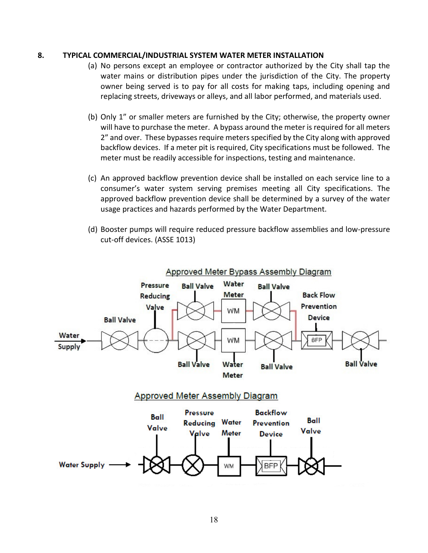#### <span id="page-22-0"></span>**8. TYPICAL COMMERCIAL/INDUSTRIAL SYSTEM WATER METER INSTALLATION**

- (a) No persons except an employee or contractor authorized by the City shall tap the water mains or distribution pipes under the jurisdiction of the City. The property owner being served is to pay for all costs for making taps, including opening and replacing streets, driveways or alleys, and all labor performed, and materials used.
- (b) Only 1" or smaller meters are furnished by the City; otherwise, the property owner will have to purchase the meter. A bypass around the meter is required for all meters 2" and over. These bypasses require meters specified by the City along with approved backflow devices. If a meter pit is required, City specifications must be followed. The meter must be readily accessible for inspections, testing and maintenance.
- (c) An approved backflow prevention device shall be installed on each service line to a consumer's water system serving premises meeting all City specifications. The approved backflow prevention device shall be determined by a survey of the water usage practices and hazards performed by the Water Department.
- (d) Booster pumps will require reduced pressure backflow assemblies and low-pressure cut-off devices. (ASSE 1013)

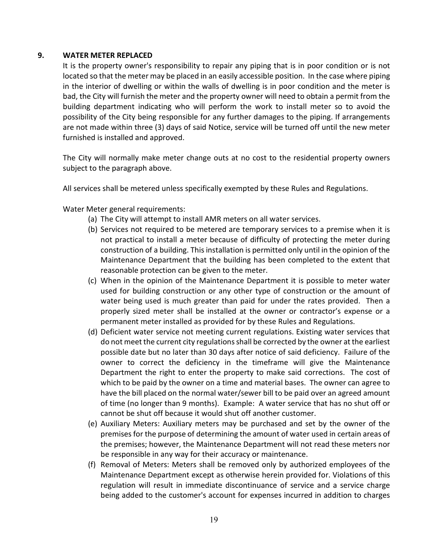#### <span id="page-23-0"></span>**9. WATER METER REPLACED**

It is the property owner's responsibility to repair any piping that is in poor condition or is not located so that the meter may be placed in an easily accessible position. In the case where piping in the interior of dwelling or within the walls of dwelling is in poor condition and the meter is bad, the City will furnish the meter and the property owner will need to obtain a permit from the building department indicating who will perform the work to install meter so to avoid the possibility of the City being responsible for any further damages to the piping. If arrangements are not made within three (3) days of said Notice, service will be turned off until the new meter furnished is installed and approved.

The City will normally make meter change outs at no cost to the residential property owners subject to the paragraph above.

All services shall be metered unless specifically exempted by these Rules and Regulations.

Water Meter general requirements:

- (a) The City will attempt to install AMR meters on all water services.
- (b) Services not required to be metered are temporary services to a premise when it is not practical to install a meter because of difficulty of protecting the meter during construction of a building. This installation is permitted only until in the opinion of the Maintenance Department that the building has been completed to the extent that reasonable protection can be given to the meter.
- (c) When in the opinion of the Maintenance Department it is possible to meter water used for building construction or any other type of construction or the amount of water being used is much greater than paid for under the rates provided. Then a properly sized meter shall be installed at the owner or contractor's expense or a permanent meter installed as provided for by these Rules and Regulations.
- (d) Deficient water service not meeting current regulations. Existing water services that do not meet the current city regulations shall be corrected by the owner at the earliest possible date but no later than 30 days after notice of said deficiency. Failure of the owner to correct the deficiency in the timeframe will give the Maintenance Department the right to enter the property to make said corrections. The cost of which to be paid by the owner on a time and material bases. The owner can agree to have the bill placed on the normal water/sewer bill to be paid over an agreed amount of time (no longer than 9 months). Example: A water service that has no shut off or cannot be shut off because it would shut off another customer.
- (e) Auxiliary Meters: Auxiliary meters may be purchased and set by the owner of the premises for the purpose of determining the amount of water used in certain areas of the premises; however, the Maintenance Department will not read these meters nor be responsible in any way for their accuracy or maintenance.
- (f) Removal of Meters: Meters shall be removed only by authorized employees of the Maintenance Department except as otherwise herein provided for. Violations of this regulation will result in immediate discontinuance of service and a service charge being added to the customer's account for expenses incurred in addition to charges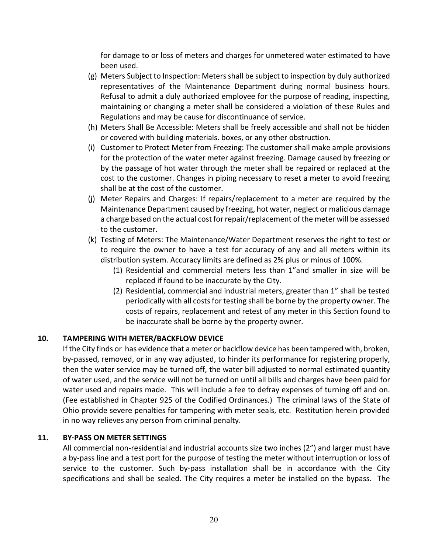for damage to or loss of meters and charges for unmetered water estimated to have been used.

- (g) Meters Subject to Inspection: Meters shall be subject to inspection by duly authorized representatives of the Maintenance Department during normal business hours. Refusal to admit a duly authorized employee for the purpose of reading, inspecting, maintaining or changing a meter shall be considered a violation of these Rules and Regulations and may be cause for discontinuance of service.
- (h) Meters Shall Be Accessible: Meters shall be freely accessible and shall not be hidden or covered with building materials. boxes, or any other obstruction.
- (i) Customer to Protect Meter from Freezing: The customer shall make ample provisions for the protection of the water meter against freezing. Damage caused by freezing or by the passage of hot water through the meter shall be repaired or replaced at the cost to the customer. Changes in piping necessary to reset a meter to avoid freezing shall be at the cost of the customer.
- (j) Meter Repairs and Charges: If repairs/replacement to a meter are required by the Maintenance Department caused by freezing, hot water, neglect or malicious damage a charge based on the actual cost for repair/replacement of the meter will be assessed to the customer.
- (k) Testing of Meters: The Maintenance/Water Department reserves the right to test or to require the owner to have a test for accuracy of any and all meters within its distribution system. Accuracy limits are defined as 2% plus or minus of 100%.
	- (1) Residential and commercial meters less than 1"and smaller in size will be replaced if found to be inaccurate by the City.
	- (2) Residential, commercial and industrial meters, greater than 1" shall be tested periodically with all costs for testing shall be borne by the property owner. The costs of repairs, replacement and retest of any meter in this Section found to be inaccurate shall be borne by the property owner.

# <span id="page-24-0"></span>**10. TAMPERING WITH METER/BACKFLOW DEVICE**

If the City finds or has evidence that a meter or backflow device has been tampered with, broken, by-passed, removed, or in any way adjusted, to hinder its performance for registering properly, then the water service may be turned off, the water bill adjusted to normal estimated quantity of water used, and the service will not be turned on until all bills and charges have been paid for water used and repairs made. This will include a fee to defray expenses of turning off and on. (Fee established in Chapter 925 of the Codified Ordinances.) The criminal laws of the State of Ohio provide severe penalties for tampering with meter seals, etc. Restitution herein provided in no way relieves any person from criminal penalty.

# <span id="page-24-1"></span>**11. BY·PASS ON METER SETTINGS**

All commercial non-residential and industrial accounts size two inches (2") and larger must have a by-pass line and a test port for the purpose of testing the meter without interruption or loss of service to the customer. Such by-pass installation shall be in accordance with the City specifications and shall be sealed. The City requires a meter be installed on the bypass. The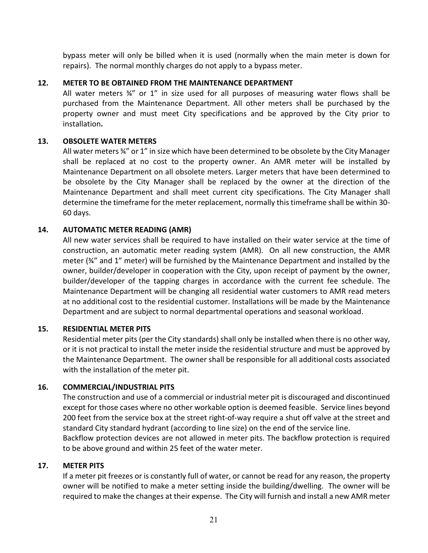bypass meter will only be billed when it is used (normally when the main meter is down for repairs). The normal monthly charges do not apply to a bypass meter.

## <span id="page-25-0"></span>**12. METER TO BE OBTAINED FROM THE MAINTENANCE DEPARTMENT**

All water meters  $\frac{3}{4}$ " or 1" in size used for all purposes of measuring water flows shall be purchased from the Maintenance Department. All other meters shall be purchased by the property owner and must meet City specifications and be approved by the City prior to installation**.**

#### <span id="page-25-1"></span>**13. OBSOLETE WATER METERS**

All water meters ¾" or 1" in size which have been determined to be obsolete by the City Manager shall be replaced at no cost to the property owner. An AMR meter will be installed by Maintenance Department on all obsolete meters. Larger meters that have been determined to be obsolete by the City Manager shall be replaced by the owner at the direction of the Maintenance Department and shall meet current city specifications. The City Manager shall determine the timeframe for the meter replacement, normally this timeframe shall be within 30- 60 days.

## <span id="page-25-2"></span>**14. AUTOMATIC METER READING (AMR)**

All new water services shall be required to have installed on their water service at the time of construction, an automatic meter reading system (AMR). On all new construction, the AMR meter (¾" and 1" meter) will be furnished by the Maintenance Department and installed by the owner, builder/developer in cooperation with the City, upon receipt of payment by the owner, builder/developer of the tapping charges in accordance with the current fee schedule. The Maintenance Department will be changing all residential water customers to AMR read meters at no additional cost to the residential customer. Installations will be made by the Maintenance Department and are subject to normal departmental operations and seasonal workload.

## <span id="page-25-3"></span>**15. RESIDENTIAL METER PITS**

Residential meter pits (per the City standards) shall only be installed when there is no other way, or it is not practical to install the meter inside the residential structure and must be approved by the Maintenance Department. The owner shall be responsible for all additional costs associated with the installation of the meter pit.

#### <span id="page-25-4"></span>**16. COMMERCIAL/INDUSTRIAL PITS**

The construction and use of a commercial or industrial meter pit is discouraged and discontinued except for those cases where no other workable option is deemed feasible. Service lines beyond 200 feet from the service box at the street right-of-way require a shut off valve at the street and standard City standard hydrant (according to line size) on the end of the service line. Backflow protection devices are not allowed in meter pits. The backflow protection is required to be above ground and within 25 feet of the water meter.

#### <span id="page-25-5"></span>**17. METER PITS**

If a meter pit freezes or is constantly full of water, or cannot be read for any reason, the property owner will be notified to make a meter setting inside the building/dwelling. The owner will be required to make the changes at their expense. The City will furnish and install a new AMR meter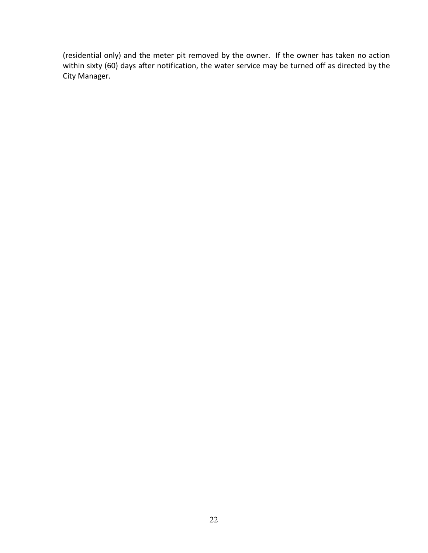(residential only) and the meter pit removed by the owner. If the owner has taken no action within sixty (60) days after notification, the water service may be turned off as directed by the City Manager.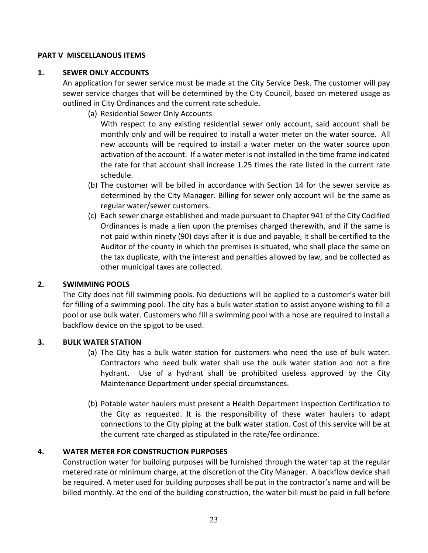## <span id="page-27-0"></span>**PART V MISCELLANOUS ITEMS**

## <span id="page-27-1"></span>**1. SEWER ONLY ACCOUNTS**

An application for sewer service must be made at the City Service Desk. The customer will pay sewer service charges that will be determined by the City Council, based on metered usage as outlined in City Ordinances and the current rate schedule.

(a) Residential Sewer Only Accounts

With respect to any existing residential sewer only account, said account shall be monthly only and will be required to install a water meter on the water source. All new accounts will be required to install a water meter on the water source upon activation of the account. If a water meter is not installed in the time frame indicated the rate for that account shall increase 1.25 times the rate listed in the current rate schedule.

- (b) The customer will be billed in accordance with Section 14 for the sewer service as determined by the City Manager. Billing for sewer only account will be the same as regular water/sewer customers.
- (c) Each sewer charge established and made pursuant to Chapter 941 of the City Codified Ordinances is made a lien upon the premises charged therewith, and if the same is not paid within ninety (90) days after it is due and payable, it shall be certified to the Auditor of the county in which the premises is situated, who shall place the same on the tax duplicate, with the interest and penalties allowed by law, and be collected as other municipal taxes are collected.

## <span id="page-27-2"></span>**2. SWIMMING POOLS**

The City does not fill swimming pools. No deductions will be applied to a customer's water bill for filling of a swimming pool. The city has a bulk water station to assist anyone wishing to fill a pool or use bulk water. Customers who fill a swimming pool with a hose are required to install a backflow device on the spigot to be used.

## <span id="page-27-3"></span>**3. BULK WATER STATION**

- (a) The City has a bulk water station for customers who need the use of bulk water. Contractors who need bulk water shall use the bulk water station and not a fire hydrant. Use of a hydrant shall be prohibited useless approved by the City Maintenance Department under special circumstances.
- (b) Potable water haulers must present a Health Department Inspection Certification to the City as requested. It is the responsibility of these water haulers to adapt connections to the City piping at the bulk water station. Cost of this service will be at the current rate charged as stipulated in the rate/fee ordinance.

## <span id="page-27-4"></span>**4. WATER METER FOR CONSTRUCTION PURPOSES**

Construction water for building purposes will be furnished through the water tap at the regular metered rate or minimum charge, at the discretion of the City Manager. A backflow device shall be required. A meter used for building purposes shall be put in the contractor's name and will be billed monthly. At the end of the building construction, the water bill must be paid in full before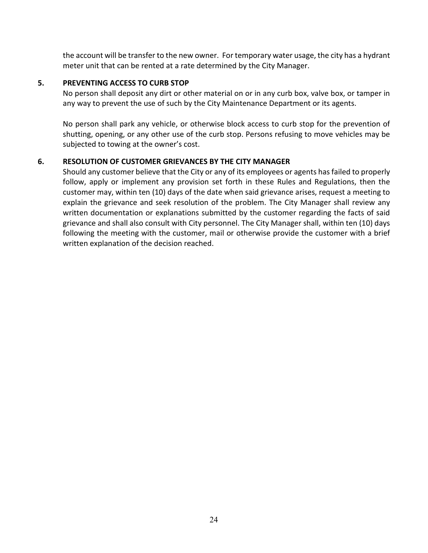the account will be transfer to the new owner. For temporary water usage, the city has a hydrant meter unit that can be rented at a rate determined by the City Manager.

## <span id="page-28-0"></span>**5. PREVENTING ACCESS TO CURB STOP**

No person shall deposit any dirt or other material on or in any curb box, valve box, or tamper in any way to prevent the use of such by the City Maintenance Department or its agents.

No person shall park any vehicle, or otherwise block access to curb stop for the prevention of shutting, opening, or any other use of the curb stop. Persons refusing to move vehicles may be subjected to towing at the owner's cost.

## <span id="page-28-1"></span>**6. RESOLUTION OF CUSTOMER GRIEVANCES BY THE CITY MANAGER**

Should any customer believe that the City or any of its employees or agents has failed to properly follow, apply or implement any provision set forth in these Rules and Regulations, then the customer may, within ten (10) days of the date when said grievance arises, request a meeting to explain the grievance and seek resolution of the problem. The City Manager shall review any written documentation or explanations submitted by the customer regarding the facts of said grievance and shall also consult with City personnel. The City Manager shall, within ten (10) days following the meeting with the customer, mail or otherwise provide the customer with a brief written explanation of the decision reached.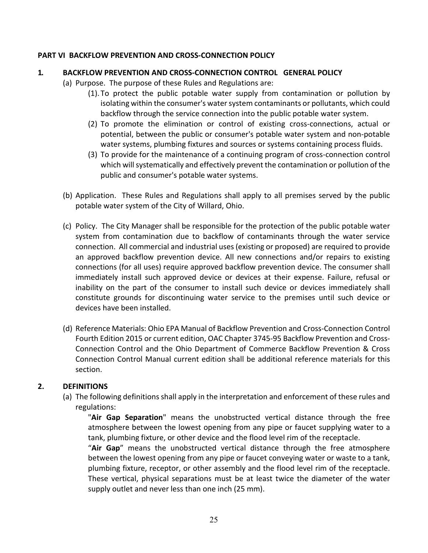## <span id="page-29-0"></span>**PART VI BACKFLOW PREVENTION AND CROSS-CONNECTION POLICY**

## <span id="page-29-1"></span>**1. BACKFLOW PREVENTION AND CROSS-CONNECTION CONTROL GENERAL POLICY**

- (a) Purpose. The purpose of these Rules and Regulations are:
	- (1). To protect the public potable water supply from contamination or pollution by isolating within the consumer's water system contaminants or pollutants, which could backflow through the service connection into the public potable water system.
	- (2) To promote the elimination or control of existing cross-connections, actual or potential, between the public or consumer's potable water system and non-potable water systems, plumbing fixtures and sources or systems containing process fluids.
	- (3) To provide for the maintenance of a continuing program of cross-connection control which will systematically and effectively prevent the contamination or pollution of the public and consumer's potable water systems.
- (b) Application. These Rules and Regulations shall apply to all premises served by the public potable water system of the City of Willard, Ohio.
- (c) Policy. The City Manager shall be responsible for the protection of the public potable water system from contamination due to backflow of contaminants through the water service connection. All commercial and industrial uses (existing or proposed) are required to provide an approved backflow prevention device. All new connections and/or repairs to existing connections (for all uses) require approved backflow prevention device. The consumer shall immediately install such approved device or devices at their expense. Failure, refusal or inability on the part of the consumer to install such device or devices immediately shall constitute grounds for discontinuing water service to the premises until such device or devices have been installed.
- (d) Reference Materials: Ohio EPA Manual of Backflow Prevention and Cross-Connection Control Fourth Edition 2015 or current edition, OAC Chapter 3745-95 Backflow Prevention and Cross-Connection Control and the Ohio Department of Commerce Backflow Prevention & Cross Connection Control Manual current edition shall be additional reference materials for this section.

# <span id="page-29-2"></span>**2. DEFINITIONS**

(a) The following definitions shall apply in the interpretation and enforcement of these rules and regulations:

"**Air Gap Separation**" means the unobstructed vertical distance through the free atmosphere between the lowest opening from any pipe or faucet supplying water to a tank, plumbing fixture, or other device and the flood level rim of the receptacle.

"**Air Gap**" means the unobstructed vertical distance through the free atmosphere between the lowest opening from any pipe or faucet conveying water or waste to a tank, plumbing fixture, receptor, or other assembly and the flood level rim of the receptacle. These vertical, physical separations must be at least twice the diameter of the water supply outlet and never less than one inch (25 mm).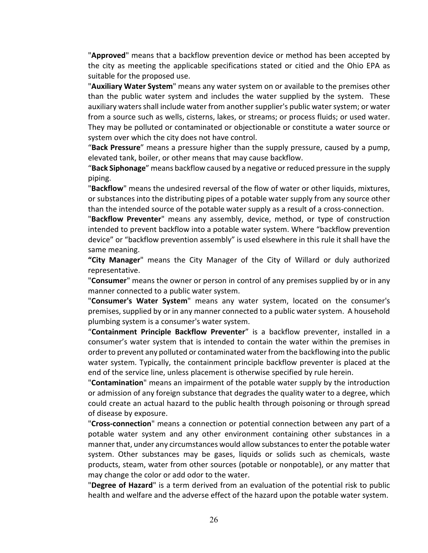"**Approved**" means that a backflow prevention device or method has been accepted by the city as meeting the applicable specifications stated or citied and the Ohio EPA as suitable for the proposed use.

"**Auxiliary Water System**" means any water system on or available to the premises other than the public water system and includes the water supplied by the system. These auxiliary waters shall include water from another supplier's public water system; or water from a source such as wells, cisterns, lakes, or streams; or process fluids; or used water. They may be polluted or contaminated or objectionable or constitute a water source or system over which the city does not have control.

"**Back Pressure**" means a pressure higher than the supply pressure, caused by a pump, elevated tank, boiler, or other means that may cause backflow.

"**Back Siphonage**" means backflow caused by a negative or reduced pressure in the supply piping.

"**Backflow**" means the undesired reversal of the flow of water or other liquids, mixtures, or substances into the distributing pipes of a potable water supply from any source other than the intended source of the potable water supply as a result of a cross-connection.

"**Backflow Preventer**" means any assembly, device, method, or type of construction intended to prevent backflow into a potable water system. Where "backflow prevention device" or "backflow prevention assembly" is used elsewhere in this rule it shall have the same meaning.

**"City Manager**" means the City Manager of the City of Willard or duly authorized representative.

"**Consumer**" means the owner or person in control of any premises supplied by or in any manner connected to a public water system.

"**Consumer's Water System**" means any water system, located on the consumer's premises, supplied by or in any manner connected to a public water system. A household plumbing system is a consumer's water system.

"**Containment Principle Backflow Preventer**" is a backflow preventer, installed in a consumer's water system that is intended to contain the water within the premises in order to prevent any polluted or contaminated water from the backflowing into the public water system. Typically, the containment principle backflow preventer is placed at the end of the service line, unless placement is otherwise specified by rule herein.

"**Contamination**" means an impairment of the potable water supply by the introduction or admission of any foreign substance that degrades the quality water to a degree, which could create an actual hazard to the public health through poisoning or through spread of disease by exposure.

"**Cross-connection**" means a connection or potential connection between any part of a potable water system and any other environment containing other substances in a manner that, under any circumstances would allow substances to enter the potable water system. Other substances may be gases, liquids or solids such as chemicals, waste products, steam, water from other sources (potable or nonpotable), or any matter that may change the color or add odor to the water.

"**Degree of Hazard**" is a term derived from an evaluation of the potential risk to public health and welfare and the adverse effect of the hazard upon the potable water system.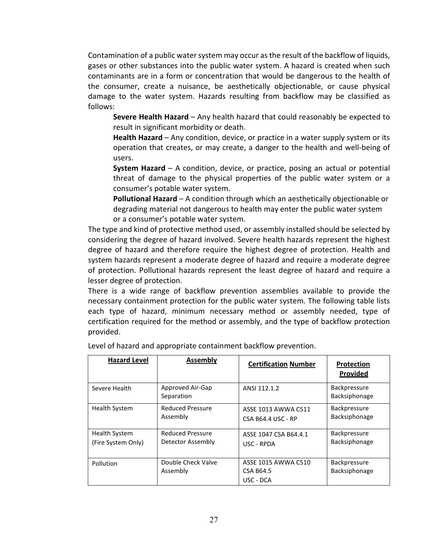Contamination of a public water system may occur as the result of the backflow of liquids, gases or other substances into the public water system. A hazard is created when such contaminants are in a form or concentration that would be dangerous to the health of the consumer, create a nuisance, be aesthetically objectionable, or cause physical damage to the water system. Hazards resulting from backflow may be classified as follows:

**Severe Health Hazard** – Any health hazard that could reasonably be expected to result in significant morbidity or death.

**Health Hazard** – Any condition, device, or practice in a water supply system or its operation that creates, or may create, a danger to the health and well-being of users.

**System Hazard** – A condition, device, or practice, posing an actual or potential threat of damage to the physical properties of the public water system or a consumer's potable water system.

**Pollutional Hazard** – A condition through which an aesthetically objectionable or degrading material not dangerous to health may enter the public water system or a consumer's potable water system.

The type and kind of protective method used, or assembly installed should be selected by considering the degree of hazard involved. Severe health hazards represent the highest degree of hazard and therefore require the highest degree of protection. Health and system hazards represent a moderate degree of hazard and require a moderate degree of protection. Pollutional hazards represent the least degree of hazard and require a lesser degree of protection.

There is a wide range of backflow prevention assemblies available to provide the necessary containment protection for the public water system. The following table lists each type of hazard, minimum necessary method or assembly needed, type of certification required for the method or assembly, and the type of backflow protection provided.

| <b>Hazard Level</b>                        | <b>Assembly</b>                              | <b>Certification Number</b>                      | <b>Protection</b><br>Provided        |
|--------------------------------------------|----------------------------------------------|--------------------------------------------------|--------------------------------------|
| Severe Health                              | Approved Air-Gap<br>Separation               | ANSI 112.1.2                                     | <b>Backpressure</b><br>Backsiphonage |
| <b>Health System</b>                       | <b>Reduced Pressure</b><br>Assembly          | ASSE 1013 AWWA C511<br><b>CSA B64.4 USC - RP</b> | <b>Backpressure</b><br>Backsiphonage |
| <b>Health System</b><br>(Fire System Only) | <b>Reduced Pressure</b><br>Detector Assembly | ASSE 1047 CSA B64.4.1<br>USC - RPDA              | <b>Backpressure</b><br>Backsiphonage |
| Pollution                                  | Double Check Valve<br>Assembly               | ASSE 1015 AWWA C510<br>CSA B64.5<br>USC - DCA    | <b>Backpressure</b><br>Backsiphonage |

Level of hazard and appropriate containment backflow prevention.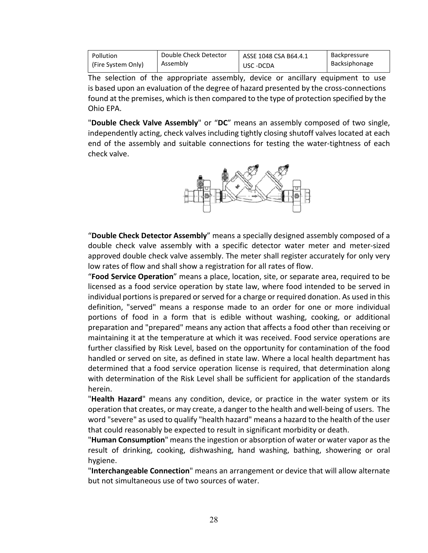| Pollution          | Double Check Detector | ASSE 1048 CSA B64.4.1 | Backpressure  |
|--------------------|-----------------------|-----------------------|---------------|
| (Fire System Only) | Assembly              | USC-DCDA              | Backsiphonage |

The selection of the appropriate assembly, device or ancillary equipment to use is based upon an evaluation of the degree of hazard presented by the cross-connections found at the premises, which is then compared to the type of protection specified by the Ohio EPA.

"**Double Check Valve Assembly**" or "**DC**" means an assembly composed of two single, independently acting, check valves including tightly closing shutoff valves located at each end of the assembly and suitable connections for testing the water-tightness of each check valve.



"**Double Check Detector Assembly**" means a specially designed assembly composed of a double check valve assembly with a specific detector water meter and meter-sized approved double check valve assembly. The meter shall register accurately for only very low rates of flow and shall show a registration for all rates of flow.

"**Food Service Operation**" means a place, location, site, or separate area, required to be licensed as a food service operation by state law, where food intended to be served in individual portions is prepared or served for a charge or required donation. As used in this definition, "served" means a response made to an order for one or more individual portions of food in a form that is edible without washing, cooking, or additional preparation and "prepared" means any action that affects a food other than receiving or maintaining it at the temperature at which it was received. Food service operations are further classified by Risk Level, based on the opportunity for contamination of the food handled or served on site, as defined in state law. Where a local health department has determined that a food service operation license is required, that determination along with determination of the Risk Level shall be sufficient for application of the standards herein.

"**Health Hazard**" means any condition, device, or practice in the water system or its operation that creates, or may create, a danger to the health and well-being of users. The word "severe" as used to qualify "health hazard" means a hazard to the health of the user that could reasonably be expected to result in significant morbidity or death.

"**Human Consumption**" means the ingestion or absorption of water or water vapor as the result of drinking, cooking, dishwashing, hand washing, bathing, showering or oral hygiene.

"**Interchangeable Connection**" means an arrangement or device that will allow alternate but not simultaneous use of two sources of water.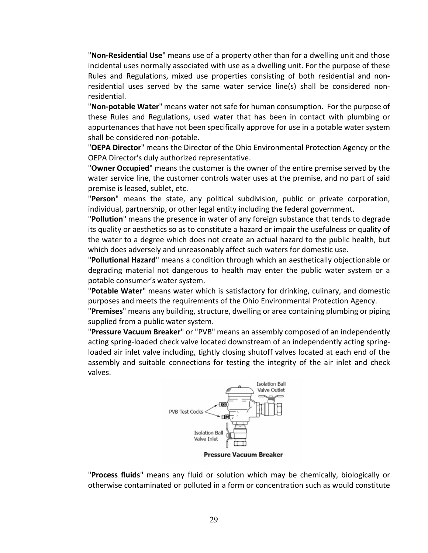"**Non-Residential Use**" means use of a property other than for a dwelling unit and those incidental uses normally associated with use as a dwelling unit. For the purpose of these Rules and Regulations, mixed use properties consisting of both residential and nonresidential uses served by the same water service line(s) shall be considered nonresidential.

"**Non-potable Water**" means water not safe for human consumption. For the purpose of these Rules and Regulations, used water that has been in contact with plumbing or appurtenances that have not been specifically approve for use in a potable water system shall be considered non-potable.

"**OEPA Director**" means the Director of the Ohio Environmental Protection Agency or the OEPA Director's duly authorized representative.

"**Owner Occupied**" means the customer is the owner of the entire premise served by the water service line, the customer controls water uses at the premise, and no part of said premise is leased, sublet, etc.

"**Person**" means the state, any political subdivision, public or private corporation, individual, partnership, or other legal entity including the federal government.

"**Pollution**" means the presence in water of any foreign substance that tends to degrade its quality or aesthetics so as to constitute a hazard or impair the usefulness or quality of the water to a degree which does not create an actual hazard to the public health, but which does adversely and unreasonably affect such waters for domestic use.

"**Pollutional Hazard**" means a condition through which an aesthetically objectionable or degrading material not dangerous to health may enter the public water system or a potable consumer's water system.

"**Potable Water**" means water which is satisfactory for drinking, culinary, and domestic purposes and meets the requirements of the Ohio Environmental Protection Agency.

"**Premises**" means any building, structure, dwelling or area containing plumbing or piping supplied from a public water system.

"**Pressure Vacuum Breaker**" or "PVB" means an assembly composed of an independently acting spring-loaded check valve located downstream of an independently acting springloaded air inlet valve including, tightly closing shutoff valves located at each end of the assembly and suitable connections for testing the integrity of the air inlet and check valves.



**Pressure Vacuum Breaker** 

"**Process fluids**" means any fluid or solution which may be chemically, biologically or otherwise contaminated or polluted in a form or concentration such as would constitute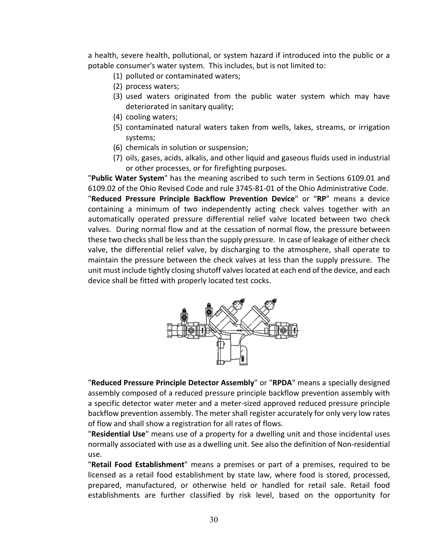a health, severe health, pollutional, or system hazard if introduced into the public or a potable consumer's water system. This includes, but is not limited to:

- (1) polluted or contaminated waters;
- (2) process waters;
- (3) used waters originated from the public water system which may have deteriorated in sanitary quality;
- (4) cooling waters;
- (5) contaminated natural waters taken from wells, lakes, streams, or irrigation systems;
- (6) chemicals in solution or suspension;
- (7) oils, gases, acids, alkalis, and other liquid and gaseous fluids used in industrial or other processes, or for firefighting purposes.

"**Public Water System**" has the meaning ascribed to such term in Sections 6109.01 and 6109.02 of the Ohio Revised Code and rule 3745-81-01 of the Ohio Administrative Code. "**Reduced Pressure Principle Backflow Prevention Device**" or "**RP**" means a device containing a minimum of two independently acting check valves together with an automatically operated pressure differential relief valve located between two check valves. During normal flow and at the cessation of normal flow, the pressure between these two checks shall be less than the supply pressure. In case of leakage of either check valve, the differential relief valve, by discharging to the atmosphere, shall operate to maintain the pressure between the check valves at less than the supply pressure. The unit must include tightly closing shutoff valves located at each end of the device, and each device shall be fitted with properly located test cocks.



"**Reduced Pressure Principle Detector Assembly**" or "**RPDA**" means a specially designed assembly composed of a reduced pressure principle backflow prevention assembly with a specific detector water meter and a meter-sized approved reduced pressure principle backflow prevention assembly. The meter shall register accurately for only very low rates of flow and shall show a registration for all rates of flows.

"**Residential Use**" means use of a property for a dwelling unit and those incidental uses normally associated with use as a dwelling unit. See also the definition of Non-residential use.

"**Retail Food Establishment**" means a premises or part of a premises, required to be licensed as a retail food establishment by state law, where food is stored, processed, prepared, manufactured, or otherwise held or handled for retail sale. Retail food establishments are further classified by risk level, based on the opportunity for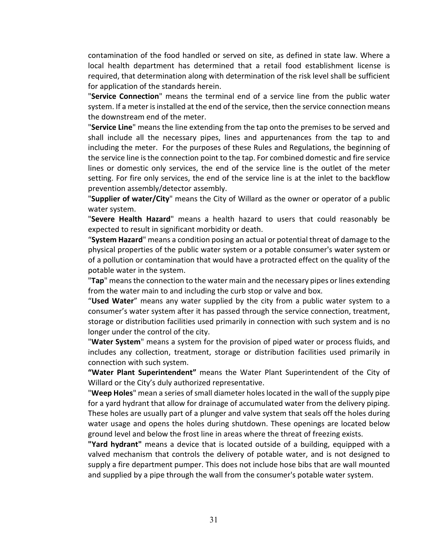contamination of the food handled or served on site, as defined in state law. Where a local health department has determined that a retail food establishment license is required, that determination along with determination of the risk level shall be sufficient for application of the standards herein.

"**Service Connection**" means the terminal end of a service line from the public water system. If a meter is installed at the end of the service, then the service connection means the downstream end of the meter.

"**Service Line**" means the line extending from the tap onto the premises to be served and shall include all the necessary pipes, lines and appurtenances from the tap to and including the meter. For the purposes of these Rules and Regulations, the beginning of the service line is the connection point to the tap. For combined domestic and fire service lines or domestic only services, the end of the service line is the outlet of the meter setting. For fire only services, the end of the service line is at the inlet to the backflow prevention assembly/detector assembly.

"**Supplier of water/City**" means the City of Willard as the owner or operator of a public water system.

"**Severe Health Hazard**" means a health hazard to users that could reasonably be expected to result in significant morbidity or death.

"**System Hazard**" means a condition posing an actual or potential threat of damage to the physical properties of the public water system or a potable consumer's water system or of a pollution or contamination that would have a protracted effect on the quality of the potable water in the system.

"**Tap**" means the connection to the water main and the necessary pipes or lines extending from the water main to and including the curb stop or valve and box.

"**Used Water**" means any water supplied by the city from a public water system to a consumer's water system after it has passed through the service connection, treatment, storage or distribution facilities used primarily in connection with such system and is no longer under the control of the city.

"**Water System**" means a system for the provision of piped water or process fluids, and includes any collection, treatment, storage or distribution facilities used primarily in connection with such system.

**"Water Plant Superintendent"** means the Water Plant Superintendent of the City of Willard or the City's duly authorized representative.

"**Weep Holes**" mean a series of small diameter holes located in the wall of the supply pipe for a yard hydrant that allow for drainage of accumulated water from the delivery piping. These holes are usually part of a plunger and valve system that seals off the holes during water usage and opens the holes during shutdown. These openings are located below ground level and below the frost line in areas where the threat of freezing exists.

**"Yard hydrant"** means a device that is located outside of a building, equipped with a valved mechanism that controls the delivery of potable water, and is not designed to supply a fire department pumper. This does not include hose bibs that are wall mounted and supplied by a pipe through the wall from the consumer's potable water system.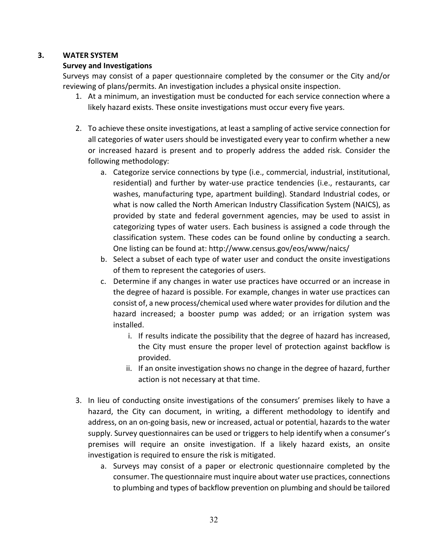## <span id="page-36-0"></span>**3. WATER SYSTEM**

## **Survey and Investigations**

Surveys may consist of a paper questionnaire completed by the consumer or the City and/or reviewing of plans/permits. An investigation includes a physical onsite inspection.

- 1. At a minimum, an investigation must be conducted for each service connection where a likely hazard exists. These onsite investigations must occur every five years.
- 2. To achieve these onsite investigations, at least a sampling of active service connection for all categories of water users should be investigated every year to confirm whether a new or increased hazard is present and to properly address the added risk. Consider the following methodology:
	- a. Categorize service connections by type (i.e., commercial, industrial, institutional, residential) and further by water-use practice tendencies (i.e., restaurants, car washes, manufacturing type, apartment building). Standard Industrial codes, or what is now called the North American Industry Classification System (NAICS), as provided by state and federal government agencies, may be used to assist in categorizing types of water users. Each business is assigned a code through the classification system. These codes can be found online by conducting a search. One listing can be found at: http://www.census.gov/eos/www/naics/
	- b. Select a subset of each type of water user and conduct the onsite investigations of them to represent the categories of users.
	- c. Determine if any changes in water use practices have occurred or an increase in the degree of hazard is possible. For example, changes in water use practices can consist of, a new process/chemical used where water provides for dilution and the hazard increased; a booster pump was added; or an irrigation system was installed.
		- i. If results indicate the possibility that the degree of hazard has increased, the City must ensure the proper level of protection against backflow is provided.
		- ii. If an onsite investigation shows no change in the degree of hazard, further action is not necessary at that time.
- 3. In lieu of conducting onsite investigations of the consumers' premises likely to have a hazard, the City can document, in writing, a different methodology to identify and address, on an on-going basis, new or increased, actual or potential, hazards to the water supply. Survey questionnaires can be used or triggers to help identify when a consumer's premises will require an onsite investigation. If a likely hazard exists, an onsite investigation is required to ensure the risk is mitigated.
	- a. Surveys may consist of a paper or electronic questionnaire completed by the consumer. The questionnaire must inquire about water use practices, connections to plumbing and types of backflow prevention on plumbing and should be tailored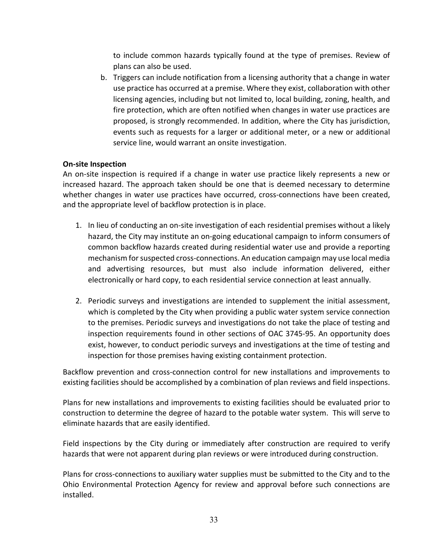to include common hazards typically found at the type of premises. Review of plans can also be used.

b. Triggers can include notification from a licensing authority that a change in water use practice has occurred at a premise. Where they exist, collaboration with other licensing agencies, including but not limited to, local building, zoning, health, and fire protection, which are often notified when changes in water use practices are proposed, is strongly recommended. In addition, where the City has jurisdiction, events such as requests for a larger or additional meter, or a new or additional service line, would warrant an onsite investigation.

## **On-site Inspection**

An on-site inspection is required if a change in water use practice likely represents a new or increased hazard. The approach taken should be one that is deemed necessary to determine whether changes in water use practices have occurred, cross-connections have been created, and the appropriate level of backflow protection is in place.

- 1. In lieu of conducting an on-site investigation of each residential premises without a likely hazard, the City may institute an on-going educational campaign to inform consumers of common backflow hazards created during residential water use and provide a reporting mechanism for suspected cross-connections. An education campaign may use local media and advertising resources, but must also include information delivered, either electronically or hard copy, to each residential service connection at least annually.
- 2. Periodic surveys and investigations are intended to supplement the initial assessment, which is completed by the City when providing a public water system service connection to the premises. Periodic surveys and investigations do not take the place of testing and inspection requirements found in other sections of OAC 3745-95. An opportunity does exist, however, to conduct periodic surveys and investigations at the time of testing and inspection for those premises having existing containment protection.

Backflow prevention and cross-connection control for new installations and improvements to existing facilities should be accomplished by a combination of plan reviews and field inspections.

Plans for new installations and improvements to existing facilities should be evaluated prior to construction to determine the degree of hazard to the potable water system. This will serve to eliminate hazards that are easily identified.

Field inspections by the City during or immediately after construction are required to verify hazards that were not apparent during plan reviews or were introduced during construction.

Plans for cross-connections to auxiliary water supplies must be submitted to the City and to the Ohio Environmental Protection Agency for review and approval before such connections are installed.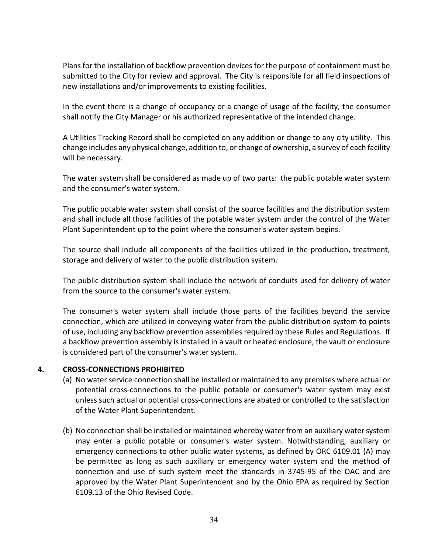Plans for the installation of backflow prevention devices for the purpose of containment must be submitted to the City for review and approval. The City is responsible for all field inspections of new installations and/or improvements to existing facilities.

In the event there is a change of occupancy or a change of usage of the facility, the consumer shall notify the City Manager or his authorized representative of the intended change.

A Utilities Tracking Record shall be completed on any addition or change to any city utility. This change includes any physical change, addition to, or change of ownership, a survey of each facility will be necessary.

The water system shall be considered as made up of two parts: the public potable water system and the consumer's water system.

The public potable water system shall consist of the source facilities and the distribution system and shall include all those facilities of the potable water system under the control of the Water Plant Superintendent up to the point where the consumer's water system begins.

The source shall include all components of the facilities utilized in the production, treatment, storage and delivery of water to the public distribution system.

The public distribution system shall include the network of conduits used for delivery of water from the source to the consumer's water system.

The consumer's water system shall include those parts of the facilities beyond the service connection, which are utilized in conveying water from the public distribution system to points of use, including any backflow prevention assemblies required by these Rules and Regulations. If a backflow prevention assembly is installed in a vault or heated enclosure, the vault or enclosure is considered part of the consumer's water system.

# <span id="page-38-0"></span>**4. CROSS-CONNECTIONS PROHIBITED**

- (a) No water service connection shall be installed or maintained to any premises where actual or potential cross-connections to the public potable or consumer's water system may exist unless such actual or potential cross-connections are abated or controlled to the satisfaction of the Water Plant Superintendent.
- (b) No connection shall be installed or maintained whereby water from an auxiliary water system may enter a public potable or consumer's water system. Notwithstanding, auxiliary or emergency connections to other public water systems, as defined by ORC 6109.01 (A) may be permitted as long as such auxiliary or emergency water system and the method of connection and use of such system meet the standards in 3745-95 of the OAC and are approved by the Water Plant Superintendent and by the Ohio EPA as required by Section 6109.13 of the Ohio Revised Code.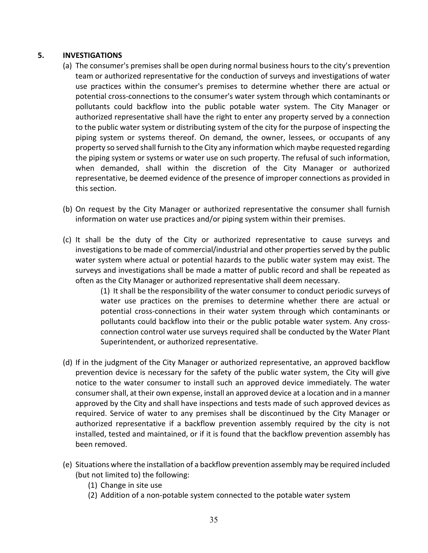## <span id="page-39-0"></span>**5. INVESTIGATIONS**

- (a) The consumer's premises shall be open during normal business hours to the city's prevention team or authorized representative for the conduction of surveys and investigations of water use practices within the consumer's premises to determine whether there are actual or potential cross-connections to the consumer's water system through which contaminants or pollutants could backflow into the public potable water system. The City Manager or authorized representative shall have the right to enter any property served by a connection to the public water system or distributing system of the city for the purpose of inspecting the piping system or systems thereof. On demand, the owner, lessees, or occupants of any property so served shall furnish to the City any information which maybe requested regarding the piping system or systems or water use on such property. The refusal of such information, when demanded, shall within the discretion of the City Manager or authorized representative, be deemed evidence of the presence of improper connections as provided in this section.
- (b) On request by the City Manager or authorized representative the consumer shall furnish information on water use practices and/or piping system within their premises.
- (c) It shall be the duty of the City or authorized representative to cause surveys and investigations to be made of commercial/industrial and other properties served by the public water system where actual or potential hazards to the public water system may exist. The surveys and investigations shall be made a matter of public record and shall be repeated as often as the City Manager or authorized representative shall deem necessary.

(1) It shall be the responsibility of the water consumer to conduct periodic surveys of water use practices on the premises to determine whether there are actual or potential cross-connections in their water system through which contaminants or pollutants could backflow into their or the public potable water system. Any crossconnection control water use surveys required shall be conducted by the Water Plant Superintendent, or authorized representative.

- (d) If in the judgment of the City Manager or authorized representative, an approved backflow prevention device is necessary for the safety of the public water system, the City will give notice to the water consumer to install such an approved device immediately. The water consumer shall, at their own expense, install an approved device at a location and in a manner approved by the City and shall have inspections and tests made of such approved devices as required. Service of water to any premises shall be discontinued by the City Manager or authorized representative if a backflow prevention assembly required by the city is not installed, tested and maintained, or if it is found that the backflow prevention assembly has been removed.
- (e) Situations where the installation of a backflow prevention assembly may be required included (but not limited to) the following:
	- (1) Change in site use
	- (2) Addition of a non-potable system connected to the potable water system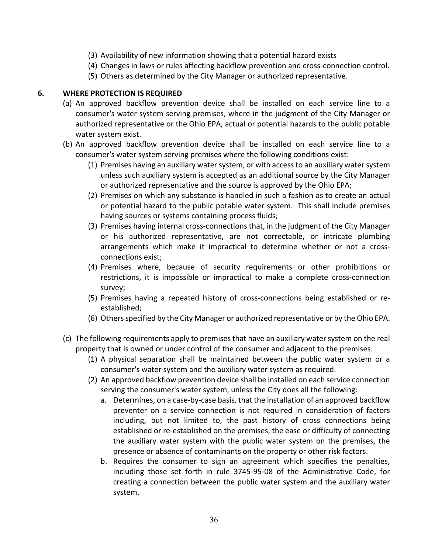- (3) Availability of new information showing that a potential hazard exists
- (4) Changes in laws or rules affecting backflow prevention and cross-connection control.
- (5) Others as determined by the City Manager or authorized representative.

## <span id="page-40-0"></span>**6. WHERE PROTECTION IS REQUIRED**

- (a) An approved backflow prevention device shall be installed on each service line to a consumer's water system serving premises, where in the judgment of the City Manager or authorized representative or the Ohio EPA, actual or potential hazards to the public potable water system exist.
- (b) An approved backflow prevention device shall be installed on each service line to a consumer's water system serving premises where the following conditions exist:
	- (1) Premises having an auxiliary water system, or with access to an auxiliary water system unless such auxiliary system is accepted as an additional source by the City Manager or authorized representative and the source is approved by the Ohio EPA;
	- (2) Premises on which any substance is handled in such a fashion as to create an actual or potential hazard to the public potable water system. This shall include premises having sources or systems containing process fluids;
	- (3) Premises having internal cross-connections that, in the judgment of the City Manager or his authorized representative, are not correctable, or intricate plumbing arrangements which make it impractical to determine whether or not a crossconnections exist;
	- (4) Premises where, because of security requirements or other prohibitions or restrictions, it is impossible or impractical to make a complete cross-connection survey;
	- (5) Premises having a repeated history of cross-connections being established or reestablished;
	- (6) Others specified by the City Manager or authorized representative or by the Ohio EPA.
- (c) The following requirements apply to premises that have an auxiliary water system on the real property that is owned or under control of the consumer and adjacent to the premises:
	- (1) A physical separation shall be maintained between the public water system or a consumer's water system and the auxiliary water system as required.
	- (2) An approved backflow prevention device shall be installed on each service connection serving the consumer's water system, unless the City does all the following:
		- a. Determines, on a case-by-case basis, that the installation of an approved backflow preventer on a service connection is not required in consideration of factors including, but not limited to, the past history of cross connections being established or re-established on the premises, the ease or difficulty of connecting the auxiliary water system with the public water system on the premises, the presence or absence of contaminants on the property or other risk factors.
		- b. Requires the consumer to sign an agreement which specifies the penalties, including those set forth in rule 3745-95-08 of the Administrative Code, for creating a connection between the public water system and the auxiliary water system.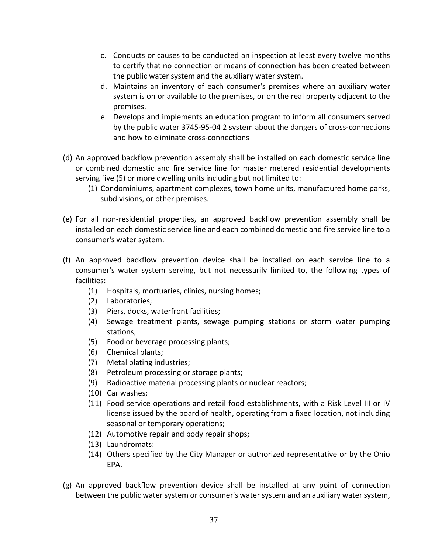- c. Conducts or causes to be conducted an inspection at least every twelve months to certify that no connection or means of connection has been created between the public water system and the auxiliary water system.
- d. Maintains an inventory of each consumer's premises where an auxiliary water system is on or available to the premises, or on the real property adjacent to the premises.
- e. Develops and implements an education program to inform all consumers served by the public water 3745-95-04 2 system about the dangers of cross-connections and how to eliminate cross-connections
- (d) An approved backflow prevention assembly shall be installed on each domestic service line or combined domestic and fire service line for master metered residential developments serving five (5) or more dwelling units including but not limited to:
	- (1) Condominiums, apartment complexes, town home units, manufactured home parks, subdivisions, or other premises.
- (e) For all non-residential properties, an approved backflow prevention assembly shall be installed on each domestic service line and each combined domestic and fire service line to a consumer's water system.
- (f) An approved backflow prevention device shall be installed on each service line to a consumer's water system serving, but not necessarily limited to, the following types of facilities:
	- (1) Hospitals, mortuaries, clinics, nursing homes;
	- (2) Laboratories;
	- (3) Piers, docks, waterfront facilities;
	- (4) Sewage treatment plants, sewage pumping stations or storm water pumping stations;
	- (5) Food or beverage processing plants;
	- (6) Chemical plants;
	- (7) Metal plating industries;
	- (8) Petroleum processing or storage plants;
	- (9) Radioactive material processing plants or nuclear reactors;
	- (10) Car washes;
	- (11) Food service operations and retail food establishments, with a Risk Level III or IV license issued by the board of health, operating from a fixed location, not including seasonal or temporary operations;
	- (12) Automotive repair and body repair shops;
	- (13) Laundromats:
	- (14) Others specified by the City Manager or authorized representative or by the Ohio EPA.
- (g) An approved backflow prevention device shall be installed at any point of connection between the public water system or consumer's water system and an auxiliary water system,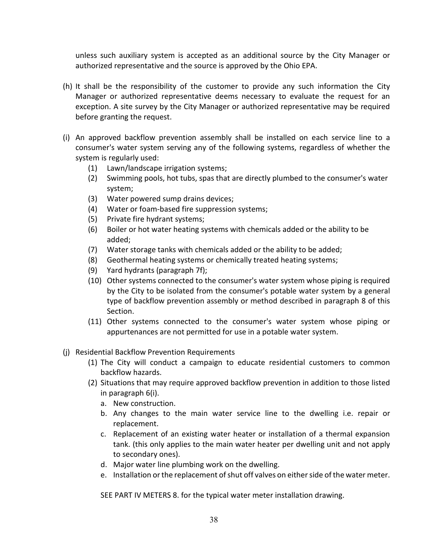unless such auxiliary system is accepted as an additional source by the City Manager or authorized representative and the source is approved by the Ohio EPA.

- (h) It shall be the responsibility of the customer to provide any such information the City Manager or authorized representative deems necessary to evaluate the request for an exception. A site survey by the City Manager or authorized representative may be required before granting the request.
- (i) An approved backflow prevention assembly shall be installed on each service line to a consumer's water system serving any of the following systems, regardless of whether the system is regularly used:
	- (1) Lawn/landscape irrigation systems;
	- (2) Swimming pools, hot tubs, spas that are directly plumbed to the consumer's water system;
	- (3) Water powered sump drains devices;
	- (4) Water or foam-based fire suppression systems;
	- (5) Private fire hydrant systems;
	- (6) Boiler or hot water heating systems with chemicals added or the ability to be added;
	- (7) Water storage tanks with chemicals added or the ability to be added;
	- (8) Geothermal heating systems or chemically treated heating systems;
	- (9) Yard hydrants (paragraph 7f);
	- (10) Other systems connected to the consumer's water system whose piping is required by the City to be isolated from the consumer's potable water system by a general type of backflow prevention assembly or method described in paragraph 8 of this Section.
	- (11) Other systems connected to the consumer's water system whose piping or appurtenances are not permitted for use in a potable water system.

## (j) Residential Backflow Prevention Requirements

- (1) The City will conduct a campaign to educate residential customers to common backflow hazards.
- (2) Situations that may require approved backflow prevention in addition to those listed in paragraph 6(i).
	- a. New construction.
	- b. Any changes to the main water service line to the dwelling i.e. repair or replacement.
	- c. Replacement of an existing water heater or installation of a thermal expansion tank. (this only applies to the main water heater per dwelling unit and not apply to secondary ones).
	- d. Major water line plumbing work on the dwelling.
	- e. Installation or the replacement of shut off valves on either side of the water meter.

SEE PART IV METERS 8. for the typical water meter installation drawing.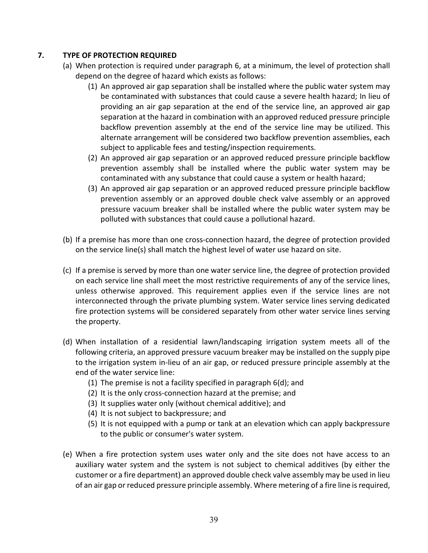# <span id="page-43-0"></span>**7. TYPE OF PROTECTION REQUIRED**

- (a) When protection is required under paragraph 6, at a minimum, the level of protection shall depend on the degree of hazard which exists as follows:
	- (1) An approved air gap separation shall be installed where the public water system may be contaminated with substances that could cause a severe health hazard; In lieu of providing an air gap separation at the end of the service line, an approved air gap separation at the hazard in combination with an approved reduced pressure principle backflow prevention assembly at the end of the service line may be utilized. This alternate arrangement will be considered two backflow prevention assemblies, each subject to applicable fees and testing/inspection requirements.
	- (2) An approved air gap separation or an approved reduced pressure principle backflow prevention assembly shall be installed where the public water system may be contaminated with any substance that could cause a system or health hazard;
	- (3) An approved air gap separation or an approved reduced pressure principle backflow prevention assembly or an approved double check valve assembly or an approved pressure vacuum breaker shall be installed where the public water system may be polluted with substances that could cause a pollutional hazard.
- (b) If a premise has more than one cross-connection hazard, the degree of protection provided on the service line(s) shall match the highest level of water use hazard on site.
- (c) If a premise is served by more than one water service line, the degree of protection provided on each service line shall meet the most restrictive requirements of any of the service lines, unless otherwise approved. This requirement applies even if the service lines are not interconnected through the private plumbing system. Water service lines serving dedicated fire protection systems will be considered separately from other water service lines serving the property.
- (d) When installation of a residential lawn/landscaping irrigation system meets all of the following criteria, an approved pressure vacuum breaker may be installed on the supply pipe to the irrigation system in-lieu of an air gap, or reduced pressure principle assembly at the end of the water service line:
	- (1) The premise is not a facility specified in paragraph 6(d); and
	- (2) It is the only cross-connection hazard at the premise; and
	- (3) It supplies water only (without chemical additive); and
	- (4) It is not subject to backpressure; and
	- (5) It is not equipped with a pump or tank at an elevation which can apply backpressure to the public or consumer's water system.
- (e) When a fire protection system uses water only and the site does not have access to an auxiliary water system and the system is not subject to chemical additives (by either the customer or a fire department) an approved double check valve assembly may be used in lieu of an air gap or reduced pressure principle assembly. Where metering of a fire line isrequired,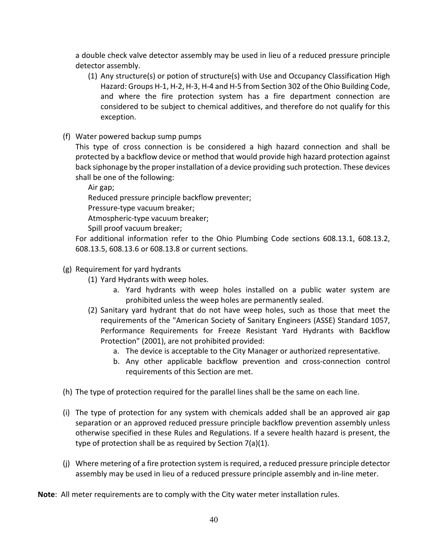a double check valve detector assembly may be used in lieu of a reduced pressure principle detector assembly.

- (1) Any structure(s) or potion of structure(s) with Use and Occupancy Classification High Hazard: Groups H-1, H-2, H-3, H-4 and H-5 from Section 302 of the Ohio Building Code, and where the fire protection system has a fire department connection are considered to be subject to chemical additives, and therefore do not qualify for this exception.
- (f) Water powered backup sump pumps

This type of cross connection is be considered a high hazard connection and shall be protected by a backflow device or method that would provide high hazard protection against back siphonage by the proper installation of a device providing such protection. These devices shall be one of the following:

Air gap;

Reduced pressure principle backflow preventer;

Pressure-type vacuum breaker;

Atmospheric-type vacuum breaker;

Spill proof vacuum breaker;

For additional information refer to the Ohio Plumbing Code sections 608.13.1, 608.13.2, 608.13.5, 608.13.6 or 608.13.8 or current sections.

# (g) Requirement for yard hydrants

- (1) Yard Hydrants with weep holes.
	- a. Yard hydrants with weep holes installed on a public water system are prohibited unless the weep holes are permanently sealed.
- (2) Sanitary yard hydrant that do not have weep holes, such as those that meet the requirements of the "American Society of Sanitary Engineers (ASSE) Standard 1057, Performance Requirements for Freeze Resistant Yard Hydrants with Backflow Protection" (2001), are not prohibited provided:
	- a. The device is acceptable to the City Manager or authorized representative.
	- b. Any other applicable backflow prevention and cross-connection control requirements of this Section are met.
- (h) The type of protection required for the parallel lines shall be the same on each line.
- (i) The type of protection for any system with chemicals added shall be an approved air gap separation or an approved reduced pressure principle backflow prevention assembly unless otherwise specified in these Rules and Regulations. If a severe health hazard is present, the type of protection shall be as required by Section 7(a)(1).
- (j) Where metering of a fire protection system is required, a reduced pressure principle detector assembly may be used in lieu of a reduced pressure principle assembly and in-line meter.

**Note**: All meter requirements are to comply with the City water meter installation rules.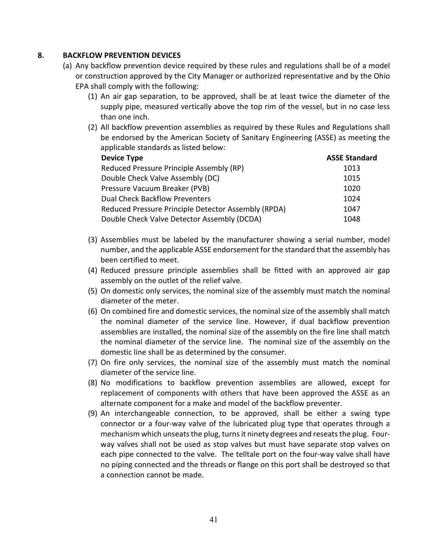## <span id="page-45-0"></span>**8. BACKFLOW PREVENTION DEVICES**

- (a) Any backflow prevention device required by these rules and regulations shall be of a model or construction approved by the City Manager or authorized representative and by the Ohio EPA shall comply with the following:
	- (1) An air gap separation, to be approved, shall be at least twice the diameter of the supply pipe, measured vertically above the top rim of the vessel, but in no case less than one inch.
	- (2) All backflow prevention assemblies as required by these Rules and Regulations shall be endorsed by the American Society of Sanitary Engineering (ASSE) as meeting the applicable standards as listed below:

| <b>Device Type</b>                                  | <b>ASSE Standard</b> |  |
|-----------------------------------------------------|----------------------|--|
| Reduced Pressure Principle Assembly (RP)            | 1013                 |  |
| Double Check Valve Assembly (DC)                    | 1015                 |  |
| Pressure Vacuum Breaker (PVB)                       | 1020                 |  |
| <b>Dual Check Backflow Preventers</b>               | 1024                 |  |
| Reduced Pressure Principle Detector Assembly (RPDA) | 1047                 |  |
| Double Check Valve Detector Assembly (DCDA)         | 1048                 |  |

- (3) Assemblies must be labeled by the manufacturer showing a serial number, model number, and the applicable ASSE endorsement for the standard that the assembly has been certified to meet.
- (4) Reduced pressure principle assemblies shall be fitted with an approved air gap assembly on the outlet of the relief valve.
- (5) On domestic only services, the nominal size of the assembly must match the nominal diameter of the meter.
- (6) On combined fire and domestic services, the nominal size of the assembly shall match the nominal diameter of the service line. However, if dual backflow prevention assemblies are installed, the nominal size of the assembly on the fire line shall match the nominal diameter of the service line. The nominal size of the assembly on the domestic line shall be as determined by the consumer.
- (7) On fire only services, the nominal size of the assembly must match the nominal diameter of the service line.
- (8) No modifications to backflow prevention assemblies are allowed, except for replacement of components with others that have been approved the ASSE as an alternate component for a make and model of the backflow preventer.
- (9) An interchangeable connection, to be approved, shall be either a swing type connector or a four-way valve of the lubricated plug type that operates through a mechanism which unseats the plug, turns it ninety degrees and reseats the plug. Fourway valves shall not be used as stop valves but must have separate stop valves on each pipe connected to the valve. The telltale port on the four-way valve shall have no piping connected and the threads or flange on this port shall be destroyed so that a connection cannot be made.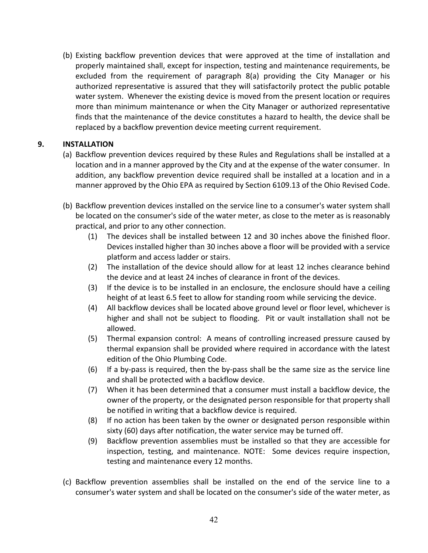(b) Existing backflow prevention devices that were approved at the time of installation and properly maintained shall, except for inspection, testing and maintenance requirements, be excluded from the requirement of paragraph 8(a) providing the City Manager or his authorized representative is assured that they will satisfactorily protect the public potable water system. Whenever the existing device is moved from the present location or requires more than minimum maintenance or when the City Manager or authorized representative finds that the maintenance of the device constitutes a hazard to health, the device shall be replaced by a backflow prevention device meeting current requirement.

# <span id="page-46-0"></span>**9. INSTALLATION**

- (a) Backflow prevention devices required by these Rules and Regulations shall be installed at a location and in a manner approved by the City and at the expense of the water consumer. In addition, any backflow prevention device required shall be installed at a location and in a manner approved by the Ohio EPA as required by Section 6109.13 of the Ohio Revised Code.
- (b) Backflow prevention devices installed on the service line to a consumer's water system shall be located on the consumer's side of the water meter, as close to the meter as is reasonably practical, and prior to any other connection.
	- (1) The devices shall be installed between 12 and 30 inches above the finished floor. Devices installed higher than 30 inches above a floor will be provided with a service platform and access ladder or stairs.
	- (2) The installation of the device should allow for at least 12 inches clearance behind the device and at least 24 inches of clearance in front of the devices.
	- (3) If the device is to be installed in an enclosure, the enclosure should have a ceiling height of at least 6.5 feet to allow for standing room while servicing the device.
	- (4) All backflow devices shall be located above ground level or floor level, whichever is higher and shall not be subject to flooding. Pit or vault installation shall not be allowed.
	- (5) Thermal expansion control: A means of controlling increased pressure caused by thermal expansion shall be provided where required in accordance with the latest edition of the Ohio Plumbing Code.
	- (6) If a by-pass is required, then the by-pass shall be the same size as the service line and shall be protected with a backflow device.
	- (7) When it has been determined that a consumer must install a backflow device, the owner of the property, or the designated person responsible for that property shall be notified in writing that a backflow device is required.
	- (8) If no action has been taken by the owner or designated person responsible within sixty (60) days after notification, the water service may be turned off.
	- (9) Backflow prevention assemblies must be installed so that they are accessible for inspection, testing, and maintenance. NOTE: Some devices require inspection, testing and maintenance every 12 months.
- (c) Backflow prevention assemblies shall be installed on the end of the service line to a consumer's water system and shall be located on the consumer's side of the water meter, as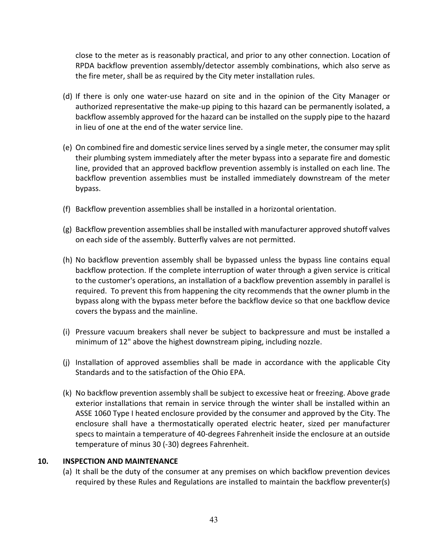close to the meter as is reasonably practical, and prior to any other connection. Location of RPDA backflow prevention assembly/detector assembly combinations, which also serve as the fire meter, shall be as required by the City meter installation rules.

- (d) If there is only one water-use hazard on site and in the opinion of the City Manager or authorized representative the make-up piping to this hazard can be permanently isolated, a backflow assembly approved for the hazard can be installed on the supply pipe to the hazard in lieu of one at the end of the water service line.
- (e) On combined fire and domestic service lines served by a single meter, the consumer may split their plumbing system immediately after the meter bypass into a separate fire and domestic line, provided that an approved backflow prevention assembly is installed on each line. The backflow prevention assemblies must be installed immediately downstream of the meter bypass.
- (f) Backflow prevention assemblies shall be installed in a horizontal orientation.
- (g) Backflow prevention assemblies shall be installed with manufacturer approved shutoff valves on each side of the assembly. Butterfly valves are not permitted.
- (h) No backflow prevention assembly shall be bypassed unless the bypass line contains equal backflow protection. If the complete interruption of water through a given service is critical to the customer's operations, an installation of a backflow prevention assembly in parallel is required. To prevent this from happening the city recommends that the owner plumb in the bypass along with the bypass meter before the backflow device so that one backflow device covers the bypass and the mainline.
- (i) Pressure vacuum breakers shall never be subject to backpressure and must be installed a minimum of 12" above the highest downstream piping, including nozzle.
- (j) Installation of approved assemblies shall be made in accordance with the applicable City Standards and to the satisfaction of the Ohio EPA.
- (k) No backflow prevention assembly shall be subject to excessive heat or freezing. Above grade exterior installations that remain in service through the winter shall be installed within an ASSE 1060 Type I heated enclosure provided by the consumer and approved by the City. The enclosure shall have a thermostatically operated electric heater, sized per manufacturer specs to maintain a temperature of 40-degrees Fahrenheit inside the enclosure at an outside temperature of minus 30 (-30) degrees Fahrenheit.

## <span id="page-47-0"></span>**10. INSPECTION AND MAINTENANCE**

(a) It shall be the duty of the consumer at any premises on which backflow prevention devices required by these Rules and Regulations are installed to maintain the backflow preventer(s)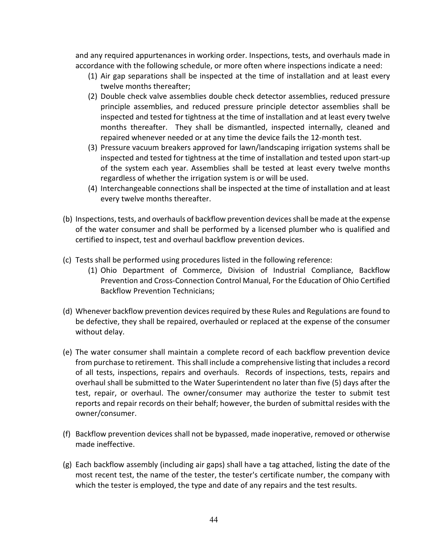and any required appurtenances in working order. Inspections, tests, and overhauls made in accordance with the following schedule, or more often where inspections indicate a need:

- (1) Air gap separations shall be inspected at the time of installation and at least every twelve months thereafter;
- (2) Double check valve assemblies double check detector assemblies, reduced pressure principle assemblies, and reduced pressure principle detector assemblies shall be inspected and tested for tightness at the time of installation and at least every twelve months thereafter. They shall be dismantled, inspected internally, cleaned and repaired whenever needed or at any time the device fails the 12-month test.
- (3) Pressure vacuum breakers approved for lawn/landscaping irrigation systems shall be inspected and tested for tightness at the time of installation and tested upon start-up of the system each year. Assemblies shall be tested at least every twelve months regardless of whether the irrigation system is or will be used.
- (4) Interchangeable connections shall be inspected at the time of installation and at least every twelve months thereafter.
- (b) Inspections, tests, and overhauls of backflow prevention devices shall be made at the expense of the water consumer and shall be performed by a licensed plumber who is qualified and certified to inspect, test and overhaul backflow prevention devices.
- (c) Tests shall be performed using procedures listed in the following reference:
	- (1) Ohio Department of Commerce, Division of Industrial Compliance, Backflow Prevention and Cross-Connection Control Manual, For the Education of Ohio Certified Backflow Prevention Technicians;
- (d) Whenever backflow prevention devices required by these Rules and Regulations are found to be defective, they shall be repaired, overhauled or replaced at the expense of the consumer without delay.
- (e) The water consumer shall maintain a complete record of each backflow prevention device from purchase to retirement. This shall include a comprehensive listing that includes a record of all tests, inspections, repairs and overhauls. Records of inspections, tests, repairs and overhaul shall be submitted to the Water Superintendent no later than five (5) days after the test, repair, or overhaul. The owner/consumer may authorize the tester to submit test reports and repair records on their behalf; however, the burden of submittal resides with the owner/consumer.
- (f) Backflow prevention devices shall not be bypassed, made inoperative, removed or otherwise made ineffective.
- (g) Each backflow assembly (including air gaps) shall have a tag attached, listing the date of the most recent test, the name of the tester, the tester's certificate number, the company with which the tester is employed, the type and date of any repairs and the test results.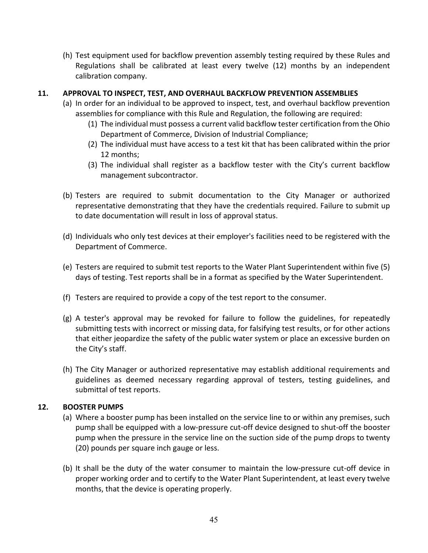(h) Test equipment used for backflow prevention assembly testing required by these Rules and Regulations shall be calibrated at least every twelve (12) months by an independent calibration company.

## <span id="page-49-0"></span>**11. APPROVAL TO INSPECT, TEST, AND OVERHAUL BACKFLOW PREVENTION ASSEMBLIES**

- (a) In order for an individual to be approved to inspect, test, and overhaul backflow prevention assemblies for compliance with this Rule and Regulation, the following are required:
	- (1) The individual must possess a current valid backflow tester certification from the Ohio Department of Commerce, Division of Industrial Compliance;
	- (2) The individual must have access to a test kit that has been calibrated within the prior 12 months;
	- (3) The individual shall register as a backflow tester with the City's current backflow management subcontractor.
- (b) Testers are required to submit documentation to the City Manager or authorized representative demonstrating that they have the credentials required. Failure to submit up to date documentation will result in loss of approval status.
- (d) Individuals who only test devices at their employer's facilities need to be registered with the Department of Commerce.
- (e) Testers are required to submit test reports to the Water Plant Superintendent within five (5) days of testing. Test reports shall be in a format as specified by the Water Superintendent.
- (f) Testers are required to provide a copy of the test report to the consumer.
- (g) A tester's approval may be revoked for failure to follow the guidelines, for repeatedly submitting tests with incorrect or missing data, for falsifying test results, or for other actions that either jeopardize the safety of the public water system or place an excessive burden on the City's staff.
- (h) The City Manager or authorized representative may establish additional requirements and guidelines as deemed necessary regarding approval of testers, testing guidelines, and submittal of test reports.

## <span id="page-49-1"></span>**12. BOOSTER PUMPS**

- (a) Where a booster pump has been installed on the service line to or within any premises, such pump shall be equipped with a low-pressure cut-off device designed to shut-off the booster pump when the pressure in the service line on the suction side of the pump drops to twenty (20) pounds per square inch gauge or less.
- (b) It shall be the duty of the water consumer to maintain the low-pressure cut-off device in proper working order and to certify to the Water Plant Superintendent, at least every twelve months, that the device is operating properly.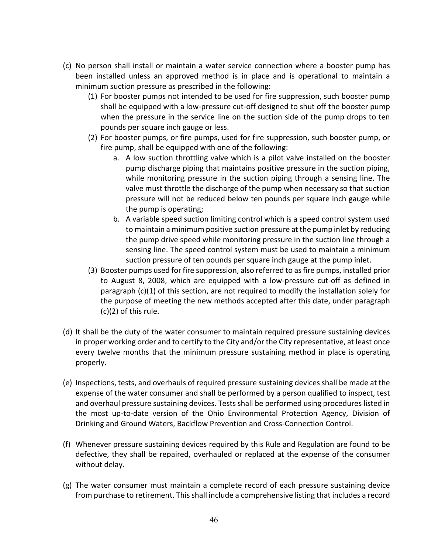- (c) No person shall install or maintain a water service connection where a booster pump has been installed unless an approved method is in place and is operational to maintain a minimum suction pressure as prescribed in the following:
	- (1) For booster pumps not intended to be used for fire suppression, such booster pump shall be equipped with a low-pressure cut-off designed to shut off the booster pump when the pressure in the service line on the suction side of the pump drops to ten pounds per square inch gauge or less.
	- (2) For booster pumps, or fire pumps, used for fire suppression, such booster pump, or fire pump, shall be equipped with one of the following:
		- a. A low suction throttling valve which is a pilot valve installed on the booster pump discharge piping that maintains positive pressure in the suction piping, while monitoring pressure in the suction piping through a sensing line. The valve must throttle the discharge of the pump when necessary so that suction pressure will not be reduced below ten pounds per square inch gauge while the pump is operating;
		- b. A variable speed suction limiting control which is a speed control system used to maintain a minimum positive suction pressure at the pump inlet by reducing the pump drive speed while monitoring pressure in the suction line through a sensing line. The speed control system must be used to maintain a minimum suction pressure of ten pounds per square inch gauge at the pump inlet.
	- (3) Booster pumps used for fire suppression, also referred to as fire pumps, installed prior to August 8, 2008, which are equipped with a low-pressure cut-off as defined in paragraph (c)(1) of this section, are not required to modify the installation solely for the purpose of meeting the new methods accepted after this date, under paragraph (c)(2) of this rule.
- (d) It shall be the duty of the water consumer to maintain required pressure sustaining devices in proper working order and to certify to the City and/or the City representative, at least once every twelve months that the minimum pressure sustaining method in place is operating properly.
- (e) Inspections, tests, and overhauls of required pressure sustaining devices shall be made at the expense of the water consumer and shall be performed by a person qualified to inspect, test and overhaul pressure sustaining devices. Tests shall be performed using procedures listed in the most up-to-date version of the Ohio Environmental Protection Agency, Division of Drinking and Ground Waters, Backflow Prevention and Cross-Connection Control.
- (f) Whenever pressure sustaining devices required by this Rule and Regulation are found to be defective, they shall be repaired, overhauled or replaced at the expense of the consumer without delay.
- (g) The water consumer must maintain a complete record of each pressure sustaining device from purchase to retirement. This shall include a comprehensive listing that includes a record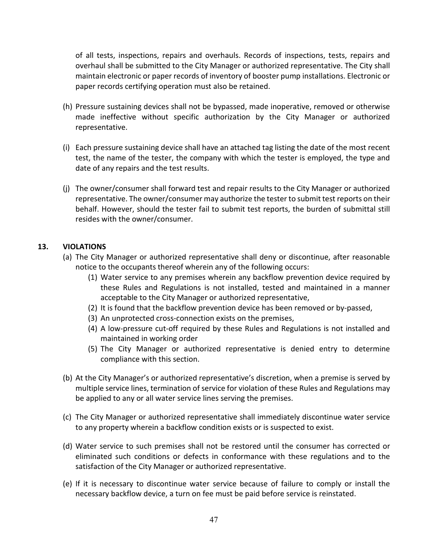of all tests, inspections, repairs and overhauls. Records of inspections, tests, repairs and overhaul shall be submitted to the City Manager or authorized representative. The City shall maintain electronic or paper records of inventory of booster pump installations. Electronic or paper records certifying operation must also be retained.

- (h) Pressure sustaining devices shall not be bypassed, made inoperative, removed or otherwise made ineffective without specific authorization by the City Manager or authorized representative.
- (i) Each pressure sustaining device shall have an attached tag listing the date of the most recent test, the name of the tester, the company with which the tester is employed, the type and date of any repairs and the test results.
- (j) The owner/consumer shall forward test and repair results to the City Manager or authorized representative. The owner/consumer may authorize the tester to submit test reports on their behalf. However, should the tester fail to submit test reports, the burden of submittal still resides with the owner/consumer.

## <span id="page-51-0"></span>**13. VIOLATIONS**

- (a) The City Manager or authorized representative shall deny or discontinue, after reasonable notice to the occupants thereof wherein any of the following occurs:
	- (1) Water service to any premises wherein any backflow prevention device required by these Rules and Regulations is not installed, tested and maintained in a manner acceptable to the City Manager or authorized representative,
	- (2) It is found that the backflow prevention device has been removed or by-passed,
	- (3) An unprotected cross-connection exists on the premises,
	- (4) A low-pressure cut-off required by these Rules and Regulations is not installed and maintained in working order
	- (5) The City Manager or authorized representative is denied entry to determine compliance with this section.
- (b) At the City Manager's or authorized representative's discretion, when a premise is served by multiple service lines, termination of service for violation of these Rules and Regulations may be applied to any or all water service lines serving the premises.
- (c) The City Manager or authorized representative shall immediately discontinue water service to any property wherein a backflow condition exists or is suspected to exist.
- (d) Water service to such premises shall not be restored until the consumer has corrected or eliminated such conditions or defects in conformance with these regulations and to the satisfaction of the City Manager or authorized representative.
- (e) If it is necessary to discontinue water service because of failure to comply or install the necessary backflow device, a turn on fee must be paid before service is reinstated.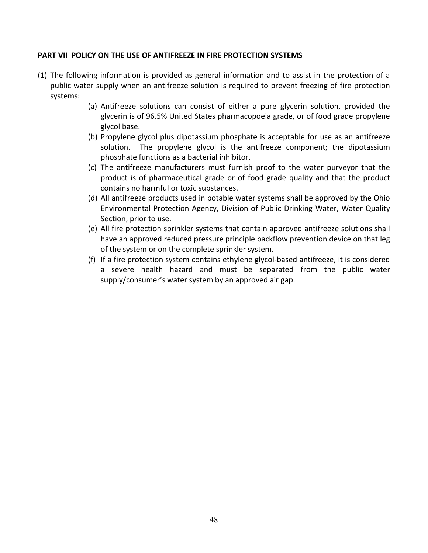## <span id="page-52-0"></span>**PART VII POLICY ON THE USE OF ANTIFREEZE IN FIRE PROTECTION SYSTEMS**

- (1) The following information is provided as general information and to assist in the protection of a public water supply when an antifreeze solution is required to prevent freezing of fire protection systems:
	- (a) Antifreeze solutions can consist of either a pure glycerin solution, provided the glycerin is of 96.5% United States pharmacopoeia grade, or of food grade propylene glycol base.
	- (b) Propylene glycol plus dipotassium phosphate is acceptable for use as an antifreeze solution. The propylene glycol is the antifreeze component; the dipotassium phosphate functions as a bacterial inhibitor.
	- (c) The antifreeze manufacturers must furnish proof to the water purveyor that the product is of pharmaceutical grade or of food grade quality and that the product contains no harmful or toxic substances.
	- (d) All antifreeze products used in potable water systems shall be approved by the Ohio Environmental Protection Agency, Division of Public Drinking Water, Water Quality Section, prior to use.
	- (e) All fire protection sprinkler systems that contain approved antifreeze solutions shall have an approved reduced pressure principle backflow prevention device on that leg of the system or on the complete sprinkler system.
	- (f) If a fire protection system contains ethylene glycol-based antifreeze, it is considered a severe health hazard and must be separated from the public water supply/consumer's water system by an approved air gap.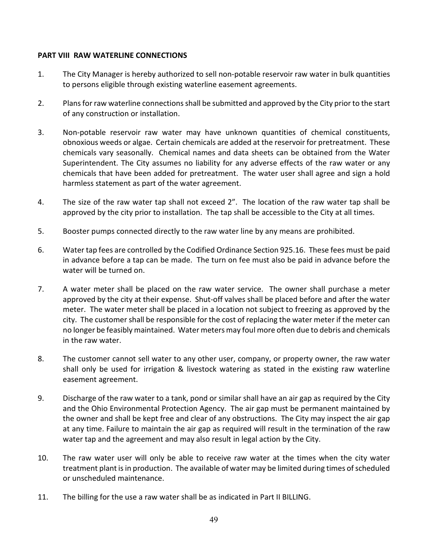## <span id="page-53-0"></span>**PART VIII RAW WATERLINE CONNECTIONS**

- 1. The City Manager is hereby authorized to sell non-potable reservoir raw water in bulk quantities to persons eligible through existing waterline easement agreements.
- 2. Plans for raw waterline connections shall be submitted and approved by the City prior to the start of any construction or installation.
- 3. Non-potable reservoir raw water may have unknown quantities of chemical constituents, obnoxious weeds or algae. Certain chemicals are added at the reservoir for pretreatment. These chemicals vary seasonally. Chemical names and data sheets can be obtained from the Water Superintendent. The City assumes no liability for any adverse effects of the raw water or any chemicals that have been added for pretreatment. The water user shall agree and sign a hold harmless statement as part of the water agreement.
- 4. The size of the raw water tap shall not exceed 2". The location of the raw water tap shall be approved by the city prior to installation. The tap shall be accessible to the City at all times.
- 5. Booster pumps connected directly to the raw water line by any means are prohibited.
- 6. Water tap fees are controlled by the Codified Ordinance Section 925.16. These fees must be paid in advance before a tap can be made. The turn on fee must also be paid in advance before the water will be turned on.
- 7. A water meter shall be placed on the raw water service. The owner shall purchase a meter approved by the city at their expense. Shut-off valves shall be placed before and after the water meter. The water meter shall be placed in a location not subject to freezing as approved by the city. The customer shall be responsible for the cost of replacing the water meter if the meter can no longer be feasibly maintained. Water meters may foul more often due to debris and chemicals in the raw water.
- 8. The customer cannot sell water to any other user, company, or property owner, the raw water shall only be used for irrigation & livestock watering as stated in the existing raw waterline easement agreement.
- 9. Discharge of the raw water to a tank, pond or similar shall have an air gap as required by the City and the Ohio Environmental Protection Agency. The air gap must be permanent maintained by the owner and shall be kept free and clear of any obstructions. The City may inspect the air gap at any time. Failure to maintain the air gap as required will result in the termination of the raw water tap and the agreement and may also result in legal action by the City.
- 10. The raw water user will only be able to receive raw water at the times when the city water treatment plant is in production. The available of water may be limited during times of scheduled or unscheduled maintenance.
- 11. The billing for the use a raw water shall be as indicated in Part II BILLING.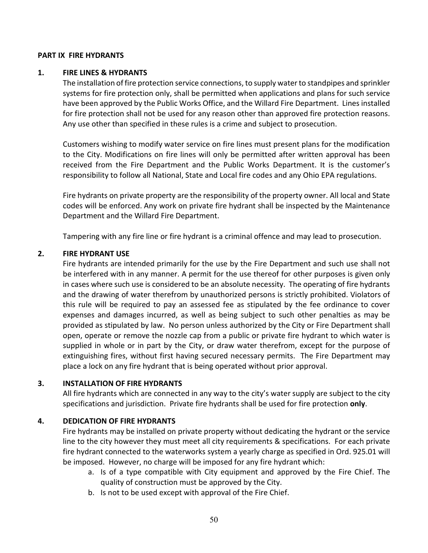#### <span id="page-54-0"></span>**PART IX FIRE HYDRANTS**

#### <span id="page-54-1"></span>**1. FIRE LINES & HYDRANTS**

The installation of fire protection service connections, to supply water to standpipes and sprinkler systems for fire protection only, shall be permitted when applications and plans for such service have been approved by the Public Works Office, and the Willard Fire Department. Lines installed for fire protection shall not be used for any reason other than approved fire protection reasons. Any use other than specified in these rules is a crime and subject to prosecution.

Customers wishing to modify water service on fire lines must present plans for the modification to the City. Modifications on fire lines will only be permitted after written approval has been received from the Fire Department and the Public Works Department. It is the customer's responsibility to follow all National, State and Local fire codes and any Ohio EPA regulations.

Fire hydrants on private property are the responsibility of the property owner. All local and State codes will be enforced. Any work on private fire hydrant shall be inspected by the Maintenance Department and the Willard Fire Department.

Tampering with any fire line or fire hydrant is a criminal offence and may lead to prosecution.

#### <span id="page-54-2"></span>**2. FIRE HYDRANT USE**

Fire hydrants are intended primarily for the use by the Fire Department and such use shall not be interfered with in any manner. A permit for the use thereof for other purposes is given only in cases where such use is considered to be an absolute necessity. The operating of fire hydrants and the drawing of water therefrom by unauthorized persons is strictly prohibited. Violators of this rule will be required to pay an assessed fee as stipulated by the fee ordinance to cover expenses and damages incurred, as well as being subject to such other penalties as may be provided as stipulated by law. No person unless authorized by the City or Fire Department shall open, operate or remove the nozzle cap from a public or private fire hydrant to which water is supplied in whole or in part by the City, or draw water therefrom, except for the purpose of extinguishing fires, without first having secured necessary permits. The Fire Department may place a lock on any fire hydrant that is being operated without prior approval.

## <span id="page-54-3"></span>**3. INSTALLATION OF FIRE HYDRANTS**

All fire hydrants which are connected in any way to the city's water supply are subject to the city specifications and jurisdiction. Private fire hydrants shall be used for fire protection **only**.

## <span id="page-54-4"></span>**4. DEDICATION OF FIRE HYDRANTS**

Fire hydrants may be installed on private property without dedicating the hydrant or the service line to the city however they must meet all city requirements & specifications. For each private fire hydrant connected to the waterworks system a yearly charge as specified in Ord. 925.01 will be imposed. However, no charge will be imposed for any fire hydrant which:

- a. Is of a type compatible with City equipment and approved by the Fire Chief. The quality of construction must be approved by the City.
- b. Is not to be used except with approval of the Fire Chief.